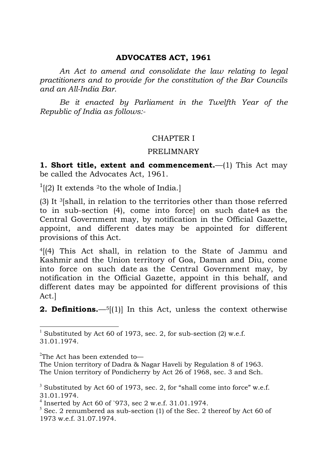#### **ADVOCATES ACT, 1961**

*An Act to amend and consolidate the law relating to legal practitioners and to provide for the constitution of the Bar Councils and an All-India Bar.*

*Be it enacted by Parliament in the Twelfth Year of the Republic of India as follows:-*

### CHAPTER I

#### PRELIMNARY

**1. Short title, extent and commencement.**—(1) This Act may be called the Advocates Act, 1961.

 $1$ [(2) It extends <sup>2</sup>to the whole of India.]

(3) It 3[shall, in relation to the territories other than those referred to in sub-section (4), come into force] on such date4 as the Central Government may, by notification in the Official Gazette, appoint, and different dates may be appointed for different provisions of this Act.

4[(4) This Act shall, in relation to the State of Jammu and Kashmir and the Union territory of Goa, Daman and Diu, come into force on such date as the Central Government may, by notification in the Official Gazette, appoint in this behalf, and different dates may be appointed for different provisions of this Act.]

**2. Definitions.**—5[(1)] In this Act, unless the context otherwise

 $^{2}$ The Act has been extended to $\!-$ 

<sup>&</sup>lt;sup>1</sup> Substituted by Act 60 of 1973, sec. 2, for sub-section  $(2)$  w.e.f. 31.01.1974.

The Union territory of Dadra & Nagar Haveli by Regulation 8 of 1963. The Union territory of Pondicherry by Act 26 of 1968, sec. 3 and Sch.

<sup>&</sup>lt;sup>3</sup> Substituted by Act 60 of 1973, sec. 2, for "shall come into force" w.e.f. 31.01.1974.

<sup>&</sup>lt;sup>4</sup> Inserted by Act 60 of `973, sec 2 w.e.f. 31.01.1974.

 $5$  Sec. 2 renumbered as sub-section (1) of the Sec. 2 thereof by Act 60 of 1973 w.e.f. 31.07.1974.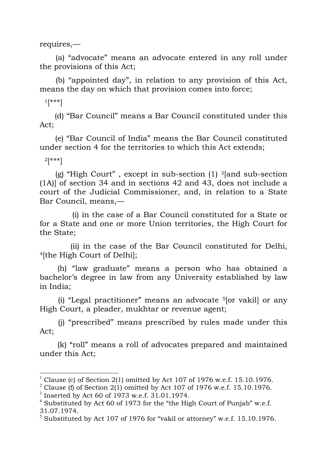requires,—

(a) "advocate" means an advocate entered in any roll under the provisions of this Act;

(b) "appointed day", in relation to any provision of this Act, means the day on which that provision comes into force;

 $1$ [\*\*\*]

(d) "Bar Council" means a Bar Council constituted under this Act;

(e) "Bar Council of India" means the Bar Council constituted under section 4 for the territories to which this Act extends;

 $2[***]$ 

(g) "High Court", except in sub-section  $(1)$  <sup>3</sup>[and sub-section (1A)] of section 34 and in sections 42 and 43, does not include a court of the Judicial Commissioner, and, in relation to a State Bar Council, means,—

(i) in the case of a Bar Council constituted for a State or for a State and one or more Union territories, the High Court for the State;

(ii) in the case of the Bar Council constituted for Delhi, 4[the High Court of Delhi];

(h) "law graduate" means a person who has obtained a bachelor's degree in law from any University established by law in India;

(i) "Legal practitioner" means an advocate  $5$ [or vakil] or any High Court, a pleader, mukhtar or revenue agent;

(j) "prescribed" means prescribed by rules made under this Act;

(k) "roll" means a roll of advocates prepared and maintained under this Act;

 <sup>1</sup> Clause (c) of Section 2(1) omitted by Act 107 of 1976 w.e.f. 15.10.1976.

<sup>&</sup>lt;sup>2</sup> Clause (f) of Section 2(1) omitted by Act 107 of 1976 w.e.f. 15.10.1976.

<sup>3</sup> Inserted by Act 60 of 1973 w.e.f. 31.01.1974.

 $4$  Substituted by Act 60 of 1973 for the "the High Court of Punjab" w.e.f. 31.07.1974.

 $5$  Substituted by Act 107 of 1976 for "vakil or attorney" w.e.f. 15.10.1976.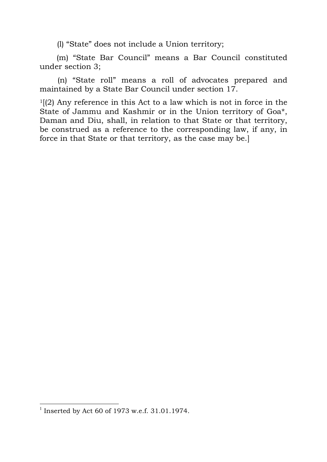(l) "State" does not include a Union territory;

(m) "State Bar Council" means a Bar Council constituted under section 3;

(n) "State roll" means a roll of advocates prepared and maintained by a State Bar Council under section 17.

 $1(2)$  Any reference in this Act to a law which is not in force in the State of Jammu and Kashmir or in the Union territory of Goa\*, Daman and Diu, shall, in relation to that State or that territory, be construed as a reference to the corresponding law, if any, in force in that State or that territory, as the case may be.]

 <sup>1</sup> Inserted by Act 60 of 1973 w.e.f. 31.01.1974.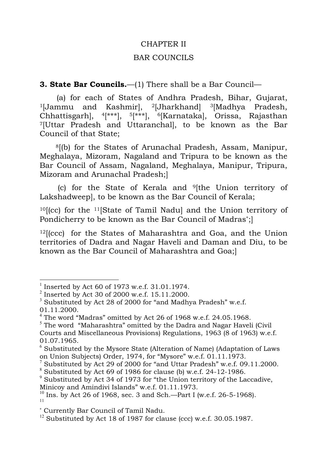#### CHAPTER II

#### BAR COUNCILS

#### **3. State Bar Councils.**—(1) There shall be a Bar Council—

(a) for each of States of Andhra Pradesh, Bihar, Gujarat, <sup>1</sup>[Jammu and Kashmir], <sup>2</sup>[Jharkhand] <sup>3</sup>[Madhya Pradesh, Chhattisgarh], 4[\*\*\*], 5[\*\*\*], 6[Karnataka], Orissa, Rajasthan 7[Uttar Pradesh and Uttaranchal], to be known as the Bar Council of that State;

8[(b) for the States of Arunachal Pradesh, Assam, Manipur, Meghalaya, Mizoram, Nagaland and Tripura to be known as the Bar Council of Assam, Nagaland, Meghalaya, Manipur, Tripura, Mizoram and Arunachal Pradesh;]

(c) for the State of Kerala and 9[the Union territory of Lakshadweep], to be known as the Bar Council of Kerala;

10[(cc) for the 11[State of Tamil Nadu] and the Union territory of Pondicherry to be known as the Bar Council of Madras<sup>∗</sup>;]

 $12$ [(ccc) for the States of Maharashtra and Goa, and the Union territories of Dadra and Nagar Haveli and Daman and Diu, to be known as the Bar Council of Maharashtra and Goa;]

 <sup>1</sup> Inserted by Act 60 of 1973 w.e.f. 31.01.1974.

 $^{2}$  Inserted by Act 30 of 2000 w.e.f. 15.11.2000.

 $3$  Substituted by Act 28 of 2000 for "and Madhya Pradesh" w.e.f. 01.11.2000.

 $4$  The word "Madras" omitted by Act 26 of 1968 w.e.f. 24.05.1968.

 $5$  The word "Maharashtra" omitted by the Dadra and Nagar Haveli (Civil Courts and Miscellaneous Provisions) Regulations, 1963 (8 of 1963) w.e.f. 01.07.1965.

 $6$  Substituted by the Mysore State (Alteration of Name) (Adaptation of Laws on Union Subjects) Order, 1974, for "Mysore" w.e.f. 01.11.1973.

<sup>&</sup>lt;sup>7</sup> Substituted by Act 29 of 2000 for "and Uttar Pradesh" w.e.f. 09.11.2000.

 $8$  Substituted by Act 69 of 1986 for clause (b) w.e.f. 24-12-1986.

 $9^9$  Substituted by Act 34 of 1973 for "the Union territory of the Laccadive, Minicoy and Amindivi Islands" w.e.f. 01.11.1973.

 $10$  Ins. by Act 26 of 1968, sec. 3 and Sch.—Part I (w.e.f. 26-5-1968). 11

<sup>∗</sup> Currently Bar Council of Tamil Nadu.

 $12$  Substituted by Act 18 of 1987 for clause (ccc) w.e.f. 30.05.1987.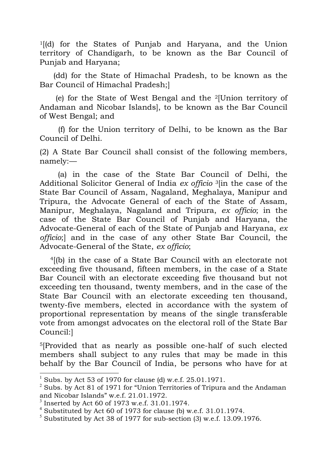1[(d) for the States of Punjab and Haryana, and the Union territory of Chandigarh, to be known as the Bar Council of Punjab and Haryana;

(dd) for the State of Himachal Pradesh, to be known as the Bar Council of Himachal Pradesh;]

(e) for the State of West Bengal and the 2[Union territory of Andaman and Nicobar Islands], to be known as the Bar Council of West Bengal; and

(f) for the Union territory of Delhi, to be known as the Bar Council of Delhi.

(2) A State Bar Council shall consist of the following members, namely:—

(a) in the case of the State Bar Council of Delhi, the Additional Solicitor General of India *ex officio* 3[in the case of the State Bar Council of Assam, Nagaland, Meghalaya, Manipur and Tripura, the Advocate General of each of the State of Assam, Manipur, Meghalaya, Nagaland and Tripura, *ex officio*; in the case of the State Bar Council of Punjab and Haryana, the Advocate-General of each of the State of Punjab and Haryana, *ex officio*;] and in the case of any other State Bar Council, the Advocate-General of the State, *ex officio*;

4[(b) in the case of a State Bar Council with an electorate not exceeding five thousand, fifteen members, in the case of a State Bar Council with an electorate exceeding five thousand but not exceeding ten thousand, twenty members, and in the case of the State Bar Council with an electorate exceeding ten thousand, twenty-five members, elected in accordance with the system of proportional representation by means of the single transferable vote from amongst advocates on the electoral roll of the State Bar Council:]

5[Provided that as nearly as possible one-half of such elected members shall subject to any rules that may be made in this behalf by the Bar Council of India, be persons who have for at

 <sup>1</sup> Subs. by Act 53 of 1970 for clause (d) w.e.f. 25.01.1971.

 $2$  Subs. by Act 81 of 1971 for "Union Territories of Tripura and the Andaman and Nicobar Islands" w.e.f. 21.01.1972.

 $3$  Inserted by Act 60 of 1973 w.e.f. 31.01.1974.

<sup>&</sup>lt;sup>4</sup> Substituted by Act 60 of 1973 for clause (b) w.e.f. 31.01.1974.

 $5$  Substituted by Act 38 of 1977 for sub-section (3) w.e.f. 13.09.1976.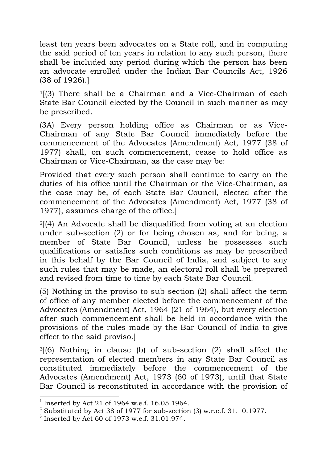least ten years been advocates on a State roll, and in computing the said period of ten years in relation to any such person, there shall be included any period during which the person has been an advocate enrolled under the Indian Bar Councils Act, 1926 (38 of 1926).]

1[(3) There shall be a Chairman and a Vice-Chairman of each State Bar Council elected by the Council in such manner as may be prescribed.

(3A) Every person holding office as Chairman or as Vice-Chairman of any State Bar Council immediately before the commencement of the Advocates (Amendment) Act, 1977 (38 of 1977) shall, on such commencement, cease to hold office as Chairman or Vice-Chairman, as the case may be:

Provided that every such person shall continue to carry on the duties of his office until the Chairman or the Vice-Chairman, as the case may be, of each State Bar Council, elected after the commencement of the Advocates (Amendment) Act, 1977 (38 of 1977), assumes charge of the office.]

 $2$ [(4) An Advocate shall be disqualified from voting at an election under sub-section (2) or for being chosen as, and for being, a member of State Bar Council, unless he possesses such qualifications or satisfies such conditions as may be prescribed in this behalf by the Bar Council of India, and subject to any such rules that may be made, an electoral roll shall be prepared and revised from time to time by each State Bar Council.

(5) Nothing in the proviso to sub-section (2) shall affect the term of office of any member elected before the commencement of the Advocates (Amendment) Act, 1964 (21 of 1964), but every election after such commencement shall be held in accordance with the provisions of the rules made by the Bar Council of India to give effect to the said proviso.]

 $3(6)$  Nothing in clause (b) of sub-section (2) shall affect the representation of elected members in any State Bar Council as constituted immediately before the commencement of the Advocates (Amendment) Act, 1973 (60 of 1973), until that State Bar Council is reconstituted in accordance with the provision of

 <sup>1</sup> Inserted by Act 21 of 1964 w.e.f. 16.05.1964.

<sup>&</sup>lt;sup>2</sup> Substituted by Act 38 of 1977 for sub-section (3) w.r.e.f. 31.10.1977.

 $3$  Inserted by Act 60 of 1973 w.e.f. 31.01.974.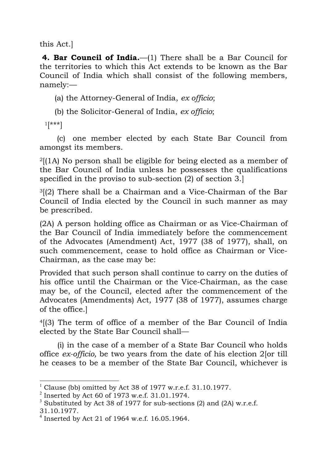this Act.]

**4. Bar Council of India.**—(1) There shall be a Bar Council for the territories to which this Act extends to be known as the Bar Council of India which shall consist of the following members, namely:—

(a) the Attorney-General of India, *ex officio*;

(b) the Solicitor-General of India, *ex officio*;

 $1$ [\*\*\*]

(c) one member elected by each State Bar Council from amongst its members.

2[(1A) No person shall be eligible for being elected as a member of the Bar Council of India unless he possesses the qualifications specified in the proviso to sub-section (2) of section 3.]

3[(2) There shall be a Chairman and a Vice-Chairman of the Bar Council of India elected by the Council in such manner as may be prescribed.

(2A) A person holding office as Chairman or as Vice-Chairman of the Bar Council of India immediately before the commencement of the Advocates (Amendment) Act, 1977 (38 of 1977), shall, on such commencement, cease to hold office as Chairman or Vice-Chairman, as the case may be:

Provided that such person shall continue to carry on the duties of his office until the Chairman or the Vice-Chairman, as the case may be, of the Council, elected after the commencement of the Advocates (Amendments) Act, 1977 (38 of 1977), assumes charge of the office.]

4[(3) The term of office of a member of the Bar Council of India elected by the State Bar Council shall—

(i) in the case of a member of a State Bar Council who holds office *ex-officio,* be two years from the date of his election 2[or till he ceases to be a member of the State Bar Council, whichever is

 <sup>1</sup> Clause (bb) omitted by Act 38 of 1977 w.r.e.f. 31.10.1977.

<sup>2</sup> Inserted by Act 60 of 1973 w.e.f. 31.01.1974.

<sup>&</sup>lt;sup>3</sup> Substituted by Act 38 of 1977 for sub-sections (2) and (2A) w.r.e.f.

<sup>31.10.1977.</sup>

 $^{4}$  Inserted by Act 21 of 1964 w.e.f. 16.05.1964.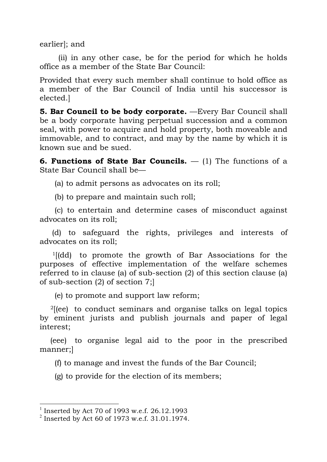earlier]; and

(ii) in any other case, be for the period for which he holds office as a member of the State Bar Council:

Provided that every such member shall continue to hold office as a member of the Bar Council of India until his successor is elected.]

**5. Bar Council to be body corporate.** —Every Bar Council shall be a body corporate having perpetual succession and a common seal, with power to acquire and hold property, both moveable and immovable, and to contract, and may by the name by which it is known sue and be sued.

**6. Functions of State Bar Councils.** — (1) The functions of a State Bar Council shall be—

(a) to admit persons as advocates on its roll;

(b) to prepare and maintain such roll;

(c) to entertain and determine cases of misconduct against advocates on its roll;

(d) to safeguard the rights, privileges and interests of advocates on its roll;

1[(dd) to promote the growth of Bar Associations for the purposes of effective implementation of the welfare schemes referred to in clause (a) of sub-section (2) of this section clause (a) of sub-section (2) of section 7;]

(e) to promote and support law reform;

2[(ee) to conduct seminars and organise talks on legal topics by eminent jurists and publish journals and paper of legal interest;

(eee) to organise legal aid to the poor in the prescribed manner;]

(f) to manage and invest the funds of the Bar Council;

(g) to provide for the election of its members;

 <sup>1</sup> Inserted by Act 70 of 1993 w.e.f. 26.12.1993

 $^{2}$  Inserted by Act 60 of 1973 w.e.f. 31.01.1974.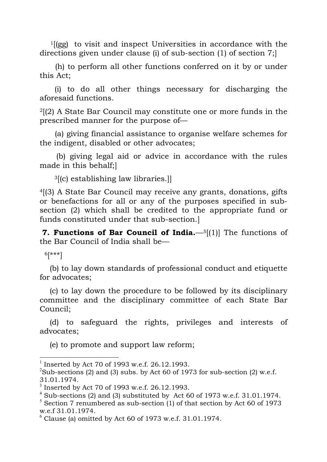1[(gg) to visit and inspect Universities in accordance with the directions given under clause (i) of sub-section (1) of section 7;]

(h) to perform all other functions conferred on it by or under this Act;

(i) to do all other things necessary for discharging the aforesaid functions.

 $2(2)$  A State Bar Council may constitute one or more funds in the prescribed manner for the purpose of—

(a) giving financial assistance to organise welfare schemes for the indigent, disabled or other advocates;

(b) giving legal aid or advice in accordance with the rules made in this behalf;]

3[(c) establishing law libraries.]]

4[(3) A State Bar Council may receive any grants, donations, gifts or benefactions for all or any of the purposes specified in subsection (2) which shall be credited to the appropriate fund or funds constituted under that sub-section.]

**7. Functions of Bar Council of India.**—5[(1)] The functions of the Bar Council of India shall be—

6[\*\*\*]

(b) to lay down standards of professional conduct and etiquette for advocates;

(c) to lay down the procedure to be followed by its disciplinary committee and the disciplinary committee of each State Bar Council;

(d) to safeguard the rights, privileges and interests of advocates;

(e) to promote and support law reform;

 <sup>1</sup> Inserted by Act 70 of 1993 w.e.f. 26.12.1993.

<sup>&</sup>lt;sup>2</sup>Sub-sections (2) and (3) subs. by Act 60 of 1973 for sub-section (2) w.e.f. 31.01.1974.

 $3$  Inserted by Act 70 of 1993 w.e.f. 26.12.1993.

 $4$  Sub-sections (2) and (3) substituted by Act 60 of 1973 w.e.f. 31.01.1974.

 $5$  Section 7 renumbered as sub-section (1) of that section by Act 60 of 1973 w.e.f 31.01.1974.

 $^6$  Clause (a) omitted by Act 60 of 1973 w.e.f. 31.01.1974.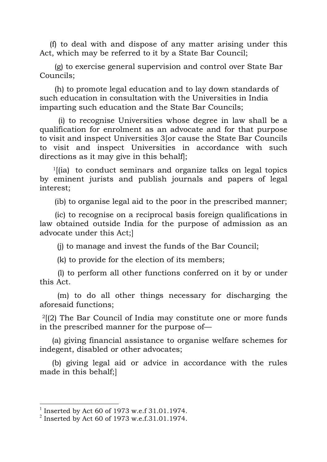(f) to deal with and dispose of any matter arising under this Act, which may be referred to it by a State Bar Council;

(g) to exercise general supervision and control over State Bar Councils;

(h) to promote legal education and to lay down standards of such education in consultation with the Universities in India imparting such education and the State Bar Councils;

(i) to recognise Universities whose degree in law shall be a qualification for enrolment as an advocate and for that purpose to visit and inspect Universities 3[or cause the State Bar Councils to visit and inspect Universities in accordance with such directions as it may give in this behalf];

 $1$ [(ia) to conduct seminars and organize talks on legal topics by eminent jurists and publish journals and papers of legal interest;

(ib) to organise legal aid to the poor in the prescribed manner;

(ic) to recognise on a reciprocal basis foreign qualifications in law obtained outside India for the purpose of admission as an advocate under this Act;]

(j) to manage and invest the funds of the Bar Council;

(k) to provide for the election of its members;

(l) to perform all other functions conferred on it by or under this Act.

(m) to do all other things necessary for discharging the aforesaid functions;

 $2(2)$  The Bar Council of India may constitute one or more funds in the prescribed manner for the purpose of—

(a) giving financial assistance to organise welfare schemes for indegent, disabled or other advocates;

(b) giving legal aid or advice in accordance with the rules made in this behalf;]

 <sup>1</sup> Inserted by Act 60 of 1973 w.e.f 31.01.1974.

 $^{2}$  Inserted by Act 60 of 1973 w.e.f.31.01.1974.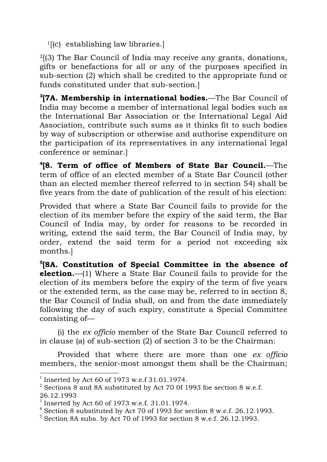$1[(c)$  establishing law libraries.

2[(3) The Bar Council of India may receive any grants, donations, gifts or benefactions for all or any of the purposes specified in sub-section (2) which shall be credited to the appropriate fund or funds constituted under that sub-section.]

**3 [7A. Membership in international bodies.**—The Bar Council of India may become a member of international legal bodies such as the International Bar Association or the International Legal Aid Association, contribute such sums as it thinks fit to such bodies by way of subscription or otherwise and authorise expenditure on the participation of its representatives in any international legal conference or seminar.]

**4[8. Term of office of Members of State Bar Council.**—The term of office of an elected member of a State Bar Council (other than an elected member thereof referred to in section 54) shall be five years from the date of publication of the result of his election:

Provided that where a State Bar Council fails to provide for the election of its member before the expiry of the said term, the Bar Council of India may, by order for reasons to be recorded in writing, extend the said term, the Bar Council of India may, by order, extend the said term for a period not exceeding six months.]

**5[8A. Constitution of Special Committee in the absence of election.**—(1) Where a State Bar Council fails to provide for the election of its members before the expiry of the term of five years or the extended term, as the case may be, referred to in section 8, the Bar Council of India shall, on and from the date immediately following the day of such expiry, constitute a Special Committee consisting of—

(i) the *ex officio* member of the State Bar Council referred to in clause (a) of sub-section (2) of section 3 to be the Chairman:

Provided that where there are more than one *ex officio* members, the senior-most amongst them shall be the Chairman;

 <sup>1</sup> Inserted by Act 60 of 1973 w.e.f 31.01.1974.

 $2^2$  Sections 8 and 8A substituted by Act 70 0f 1993 foe section 8 w.e.f. 26.12.1993

 $3$  Inserted by Act 60 of 1973 w.e.f. 31.01.1974.

<sup>4</sup> Section 8 substituted by Act 70 of 1993 for section 8 w.e.f. 26.12.1993.

 $5$  Section 8A subs. by Act 70 of 1993 for section 8 w.e.f. 26.12.1993.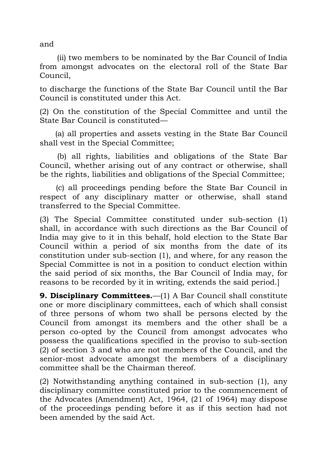and

(ii) two members to be nominated by the Bar Council of India from amongst advocates on the electoral roll of the State Bar Council,

to discharge the functions of the State Bar Council until the Bar Council is constituted under this Act.

(2) On the constitution of the Special Committee and until the State Bar Council is constituted—

(a) all properties and assets vesting in the State Bar Council shall vest in the Special Committee;

(b) all rights, liabilities and obligations of the State Bar Council, whether arising out of any contract or otherwise, shall be the rights, liabilities and obligations of the Special Committee;

(c) all proceedings pending before the State Bar Council in respect of any disciplinary matter or otherwise, shall stand transferred to the Special Committee.

(3) The Special Committee constituted under sub-section (1) shall, in accordance with such directions as the Bar Council of India may give to it in this behalf, hold election to the State Bar Council within a period of six months from the date of its constitution under sub-section (1), and where, for any reason the Special Committee is not in a position to conduct election within the said period of six months, the Bar Council of India may, for reasons to be recorded by it in writing, extends the said period.]

**9. Disciplinary Committees.**—(1) A Bar Council shall constitute one or more disciplinary committees, each of which shall consist of three persons of whom two shall be persons elected by the Council from amongst its members and the other shall be a person co-opted by the Council from amongst advocates who possess the qualifications specified in the proviso to sub-section (2) of section 3 and who are not members of the Council, and the senior-most advocate amongst the members of a disciplinary committee shall be the Chairman thereof.

(2) Notwithstanding anything contained in sub-section (1), any disciplinary committee constituted prior to the commencement of the Advocates (Amendment) Act, 1964, (21 of 1964) may dispose of the proceedings pending before it as if this section had not been amended by the said Act.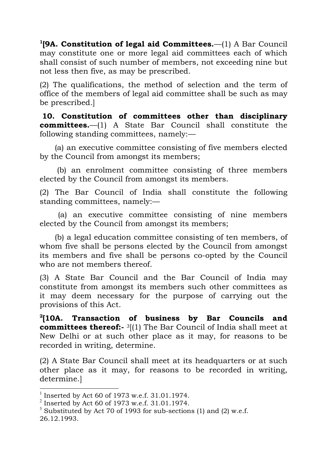**1[9A. Constitution of legal aid Committees.**—(1) A Bar Council may constitute one or more legal aid committees each of which shall consist of such number of members, not exceeding nine but not less then five, as may be prescribed.

(2) The qualifications, the method of selection and the term of office of the members of legal aid committee shall be such as may be prescribed.]

**10. Constitution of committees other than disciplinary committees.**—(1) A State Bar Council shall constitute the following standing committees, namely:—

(a) an executive committee consisting of five members elected by the Council from amongst its members;

(b) an enrolment committee consisting of three members elected by the Council from amongst its members.

(2) The Bar Council of India shall constitute the following standing committees, namely:—

(a) an executive committee consisting of nine members elected by the Council from amongst its members;

(b) a legal education committee consisting of ten members, of whom five shall be persons elected by the Council from amongst its members and five shall be persons co-opted by the Council who are not members thereof.

(3) A State Bar Council and the Bar Council of India may constitute from amongst its members such other committees as it may deem necessary for the purpose of carrying out the provisions of this Act.

**2[10A. Transaction of business by Bar Councils and committees thereof:-** <sup>3</sup>[(1) The Bar Council of India shall meet at New Delhi or at such other place as it may, for reasons to be recorded in writing, determine.

(2) A State Bar Council shall meet at its headquarters or at such other place as it may, for reasons to be recorded in writing, determine.]

 <sup>1</sup> Inserted by Act 60 of 1973 w.e.f. 31.01.1974.

 $^{2}$  Inserted by Act 60 of 1973 w.e.f. 31.01.1974.

<sup>&</sup>lt;sup>3</sup> Substituted by Act 70 of 1993 for sub-sections (1) and (2) w.e.f. 26.12.1993.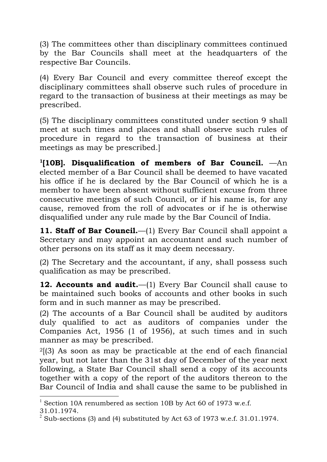(3) The committees other than disciplinary committees continued by the Bar Councils shall meet at the headquarters of the respective Bar Councils.

(4) Every Bar Council and every committee thereof except the disciplinary committees shall observe such rules of procedure in regard to the transaction of business at their meetings as may be prescribed.

(5) The disciplinary committees constituted under section 9 shall meet at such times and places and shall observe such rules of procedure in regard to the transaction of business at their meetings as may be prescribed.]

**1[10B]. Disqualification of members of Bar Council.** —An elected member of a Bar Council shall be deemed to have vacated his office if he is declared by the Bar Council of which he is a member to have been absent without sufficient excuse from three consecutive meetings of such Council, or if his name is, for any cause, removed from the roll of advocates or if he is otherwise disqualified under any rule made by the Bar Council of India.

**11. Staff of Bar Council.**—(1) Every Bar Council shall appoint a Secretary and may appoint an accountant and such number of other persons on its staff as it may deem necessary.

(2) The Secretary and the accountant, if any, shall possess such qualification as may be prescribed.

**12. Accounts and audit.**—(1) Every Bar Council shall cause to be maintained such books of accounts and other books in such form and in such manner as may be prescribed.

(2) The accounts of a Bar Council shall be audited by auditors duly qualified to act as auditors of companies under the Companies Act, 1956 (1 of 1956), at such times and in such manner as may be prescribed.

2[(3) As soon as may be practicable at the end of each financial year, but not later than the 31st day of December of the year next following, a State Bar Council shall send a copy of its accounts together with a copy of the report of the auditors thereon to the Bar Council of India and shall cause the same to be published in

 <sup>1</sup> Section 10A renumbered as section 10B by Act 60 of 1973 w.e.f. 31.01.1974.

 $2$  Sub-sections (3) and (4) substituted by Act 63 of 1973 w.e.f. 31.01.1974.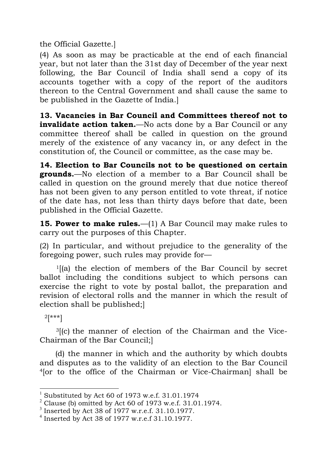the Official Gazette.]

(4) As soon as may be practicable at the end of each financial year, but not later than the 31st day of December of the year next following, the Bar Council of India shall send a copy of its accounts together with a copy of the report of the auditors thereon to the Central Government and shall cause the same to be published in the Gazette of India.]

**13. Vacancies in Bar Council and Committees thereof not to invalidate action taken.**—No acts done by a Bar Council or any committee thereof shall be called in question on the ground merely of the existence of any vacancy in, or any defect in the constitution of, the Council or committee, as the case may be.

**14. Election to Bar Councils not to be questioned on certain grounds.**—No election of a member to a Bar Council shall be called in question on the ground merely that due notice thereof has not been given to any person entitled to vote threat, if notice of the date has, not less than thirty days before that date, been published in the Official Gazette.

**15. Power to make rules.**—(1) A Bar Council may make rules to carry out the purposes of this Chapter.

(2) In particular, and without prejudice to the generality of the foregoing power, such rules may provide for—

1[(a) the election of members of the Bar Council by secret ballot including the conditions subject to which persons can exercise the right to vote by postal ballot, the preparation and revision of electoral rolls and the manner in which the result of election shall be published;]

 $2[***]$ 

 $3$ [(c) the manner of election of the Chairman and the Vice-Chairman of the Bar Council;]

(d) the manner in which and the authority by which doubts and disputes as to the validity of an election to the Bar Council 4[or to the office of the Chairman or Vice-Chairman] shall be

 <sup>1</sup> Substituted by Act 60 of 1973 w.e.f. 31.01.1974

 $2$  Clause (b) omitted by Act 60 of 1973 w.e.f. 31.01.1974.

<sup>3</sup> Inserted by Act 38 of 1977 w.r.e.f. 31.10.1977.

<sup>4</sup> Inserted by Act 38 of 1977 w.r.e.f 31.10.1977.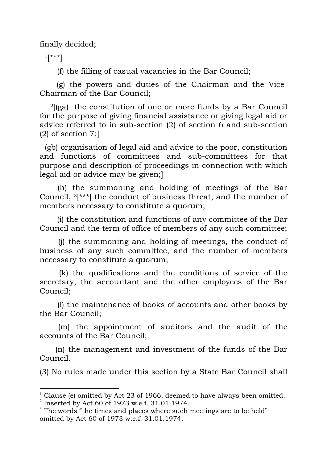finally decided;

 $1$ [\*\*\*]

(f) the filling of casual vacancies in the Bar Council;

(g) the powers and duties of the Chairman and the Vice-Chairman of the Bar Council;

 $2$ [(ga) the constitution of one or more funds by a Bar Council for the purpose of giving financial assistance or giving legal aid or advice referred to in sub-section (2) of section 6 and sub-section  $(2)$  of section 7;

(gb) organisation of legal aid and advice to the poor, constitution and functions of committees and sub-committees for that purpose and description of proceedings in connection with which legal aid or advice may be given;]

(h) the summoning and holding of meetings of the Bar Council, 3[\*\*\*] the conduct of business threat, and the number of members necessary to constitute a quorum;

(i) the constitution and functions of any committee of the Bar Council and the term of office of members of any such committee;

(j) the summoning and holding of meetings, the conduct of business of any such committee, and the number of members necessary to constitute a quorum;

(k) the qualifications and the conditions of service of the secretary, the accountant and the other employees of the Bar Council;

(l) the maintenance of books of accounts and other books by the Bar Council;

(m) the appointment of auditors and the audit of the accounts of the Bar Council;

(n) the management and investment of the funds of the Bar Council.

(3) No rules made under this section by a State Bar Council shall

 <sup>1</sup> Clause (e) omitted by Act 23 of 1966, deemed to have always been omitted. 2 Inserted by Act 60 of 1973 w.e.f. 31.01.1974.

 $3$  The words "the times and places where such meetings are to be held" omitted by Act 60 of 1973 w.e.f. 31.01.1974.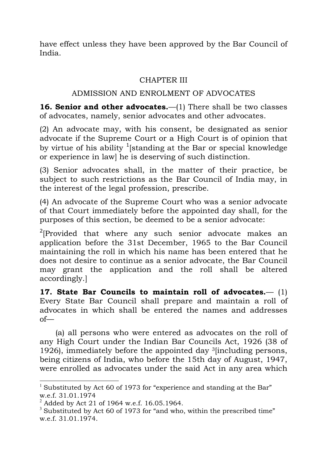have effect unless they have been approved by the Bar Council of India.

# CHAPTER III

# ADMISSION AND ENROLMENT OF ADVOCATES

**16. Senior and other advocates.**—(1) There shall be two classes of advocates, namely, senior advocates and other advocates.

(2) An advocate may, with his consent, be designated as senior advocate if the Supreme Court or a High Court is of opinion that by virtue of his ability <sup>1</sup>[standing at the Bar or special knowledge or experience in law] he is deserving of such distinction.

(3) Senior advocates shall, in the matter of their practice, be subject to such restrictions as the Bar Council of India may, in the interest of the legal profession, prescribe.

(4) An advocate of the Supreme Court who was a senior advocate of that Court immediately before the appointed day shall, for the purposes of this section, be deemed to be a senior advocate:

 $2$ [Provided that where any such senior advocate makes an application before the 31st December, 1965 to the Bar Council maintaining the roll in which his name has been entered that he does not desire to continue as a senior advocate, the Bar Council may grant the application and the roll shall be altered accordingly.]

**17. State Bar Councils to maintain roll of advocates.**— (1) Every State Bar Council shall prepare and maintain a roll of advocates in which shall be entered the names and addresses of—

(a) all persons who were entered as advocates on the roll of any High Court under the Indian Bar Councils Act, 1926 (38 of 1926), immediately before the appointed day 3[including persons, being citizens of India, who before the 15th day of August, 1947, were enrolled as advocates under the said Act in any area which

<sup>&</sup>lt;sup>1</sup> Substituted by Act 60 of 1973 for "experience and standing at the Bar" w.e.f. 31.01.1974

 $^{2}$  Added by Act 21 of 1964 w.e.f. 16.05.1964.

 $3$  Substituted by Act 60 of 1973 for "and who, within the prescribed time" w.e.f. 31.01.1974.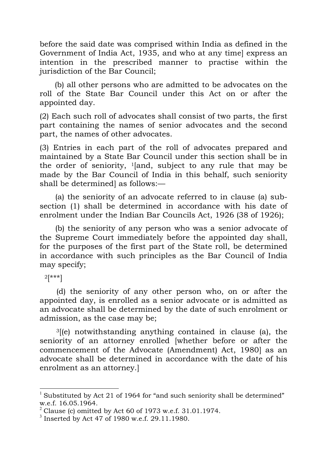before the said date was comprised within India as defined in the Government of India Act, 1935, and who at any time] express an intention in the prescribed manner to practise within the jurisdiction of the Bar Council:

(b) all other persons who are admitted to be advocates on the roll of the State Bar Council under this Act on or after the appointed day.

(2) Each such roll of advocates shall consist of two parts, the first part containing the names of senior advocates and the second part, the names of other advocates.

(3) Entries in each part of the roll of advocates prepared and maintained by a State Bar Council under this section shall be in the order of seniority,  $1$ [and, subject to any rule that may be made by the Bar Council of India in this behalf, such seniority shall be determined] as follows:—

(a) the seniority of an advocate referred to in clause (a) subsection (1) shall be determined in accordance with his date of enrolment under the Indian Bar Councils Act, 1926 (38 of 1926);

(b) the seniority of any person who was a senior advocate of the Supreme Court immediately before the appointed day shall, for the purposes of the first part of the State roll, be determined in accordance with such principles as the Bar Council of India may specify;

 $2[***!]$ 

(d) the seniority of any other person who, on or after the appointed day, is enrolled as a senior advocate or is admitted as an advocate shall be determined by the date of such enrolment or admission, as the case may be;

 $3$ [(e) notwithstanding anything contained in clause (a), the seniority of an attorney enrolled [whether before or after the commencement of the Advocate (Amendment) Act, 1980] as an advocate shall be determined in accordance with the date of his enrolment as an attorney.]

<sup>&</sup>lt;sup>1</sup> Substituted by Act 21 of 1964 for "and such seniority shall be determined" w.e.f. 16.05.1964.

 $2$  Clause (c) omitted by Act 60 of 1973 w.e.f. 31.01.1974.

<sup>3</sup> Inserted by Act 47 of 1980 w.e.f. 29.11.1980.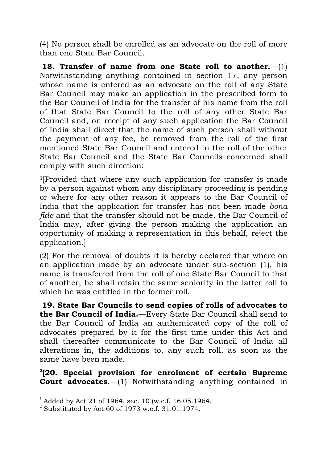(4) No person shall be enrolled as an advocate on the roll of more than one State Bar Council.

**18. Transfer of name from one State roll to another.**—(1) Notwithstanding anything contained in section 17, any person whose name is entered as an advocate on the roll of any State Bar Council may make an application in the prescribed form to the Bar Council of India for the transfer of his name from the roll of that State Bar Council to the roll of any other State Bar Council and, on receipt of any such application the Bar Council of India shall direct that the name of such person shall without the payment of any fee, be removed from the roll of the first mentioned State Bar Council and entered in the roll of the other State Bar Council and the State Bar Councils concerned shall comply with such direction:

1[Provided that where any such application for transfer is made by a person against whom any disciplinary proceeding is pending or where for any other reason it appears to the Bar Council of India that the application for transfer has not been made *bona fide* and that the transfer should not be made, the Bar Council of India may, after giving the person making the application an opportunity of making a representation in this behalf, reject the application.]

(2) For the removal of doubts it is hereby declared that where on an application made by an advocate under sub-section (1), his name is transferred from the roll of one State Bar Council to that of another, he shall retain the same seniority in the latter roll to which he was entitled in the former roll.

**19. State Bar Councils to send copies of rolls of advocates to the Bar Council of India.**—Every State Bar Council shall send to the Bar Council of India an authenticated copy of the roll of advocates prepared by it for the first time under this Act and shall thereafter communicate to the Bar Council of India all alterations in, the additions to, any such roll, as soon as the same have been made.

**2 [20. Special provision for enrolment of certain Supreme Court advocates.**—(1) Notwithstanding anything contained in

 $^{1}$  Added by Act 21 of 1964, sec. 10 (w.e.f. 16.05.1964.

 $2$  Substituted by Act 60 of 1973 w.e.f. 31.01.1974.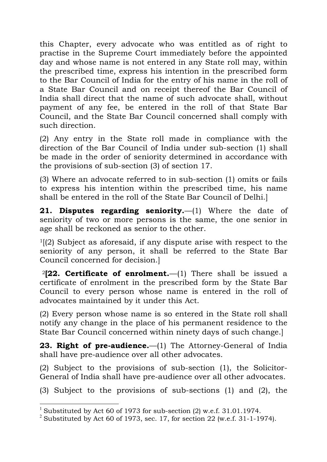this Chapter, every advocate who was entitled as of right to practise in the Supreme Court immediately before the appointed day and whose name is not entered in any State roll may, within the prescribed time, express his intention in the prescribed form to the Bar Council of India for the entry of his name in the roll of a State Bar Council and on receipt thereof the Bar Council of India shall direct that the name of such advocate shall, without payment of any fee, be entered in the roll of that State Bar Council, and the State Bar Council concerned shall comply with such direction.

(2) Any entry in the State roll made in compliance with the direction of the Bar Council of India under sub-section (1) shall be made in the order of seniority determined in accordance with the provisions of sub-section (3) of section 17.

(3) Where an advocate referred to in sub-section (1) omits or fails to express his intention within the prescribed time, his name shall be entered in the roll of the State Bar Council of Delhi.]

**21. Disputes regarding seniority.**—(1) Where the date of seniority of two or more persons is the same, the one senior in age shall be reckoned as senior to the other.

 $1(2)$  Subject as aforesaid, if any dispute arise with respect to the seniority of any person, it shall be referred to the State Bar Council concerned for decision.]

<sup>2</sup>**[22. Certificate of enrolment.**—(1) There shall be issued a certificate of enrolment in the prescribed form by the State Bar Council to every person whose name is entered in the roll of advocates maintained by it under this Act.

(2) Every person whose name is so entered in the State roll shall notify any change in the place of his permanent residence to the State Bar Council concerned within ninety days of such change.]

**23. Right of pre-audience.**—(1) The Attorney-General of India shall have pre-audience over all other advocates.

(2) Subject to the provisions of sub-section (1), the Solicitor-General of India shall have pre-audience over all other advocates.

(3) Subject to the provisions of sub-sections (1) and (2), the

<sup>&</sup>lt;sup>1</sup> Substituted by Act 60 of 1973 for sub-section  $(2)$  w.e.f. 31.01.1974.

<sup>&</sup>lt;sup>2</sup> Substituted by Act 60 of 1973, sec. 17, for section 22 (w.e.f. 31-1-1974).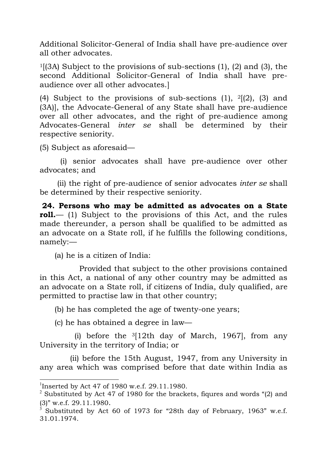Additional Solicitor-General of India shall have pre-audience over all other advocates.

 $1[(3A)$  Subject to the provisions of sub-sections (1), (2) and (3), the second Additional Solicitor-General of India shall have preaudience over all other advocates.]

(4) Subject to the provisions of sub-sections  $(1)$ ,  $2(2)$ ,  $(3)$  and (3A)], the Advocate-General of any State shall have pre-audience over all other advocates, and the right of pre-audience among Advocates-General *inter se* shall be determined by their respective seniority.

(5) Subject as aforesaid—

(i) senior advocates shall have pre-audience over other advocates; and

(ii) the right of pre-audience of senior advocates *inter se* shall be determined by their respective seniority.

**24. Persons who may be admitted as advocates on a State roll.**— (1) Subject to the provisions of this Act, and the rules made thereunder, a person shall be qualified to be admitted as an advocate on a State roll, if he fulfills the following conditions, namely:—

(a) he is a citizen of India:

Provided that subject to the other provisions contained in this Act, a national of any other country may be admitted as an advocate on a State roll, if citizens of India, duly qualified, are permitted to practise law in that other country;

(b) he has completed the age of twenty-one years;

(c) he has obtained a degree in law—

(i) before the  $3[12th$  day of March, 1967, from any University in the territory of India; or

(ii) before the 15th August, 1947, from any University in any area which was comprised before that date within India as

 <sup>1</sup> Inserted by Act 47 of 1980 w.e.f. 29.11.1980.

<sup>&</sup>lt;sup>2</sup> Substituted by Act 47 of 1980 for the brackets, figures and words "(2) and (3)" w.e.f. 29.11.1980.<br><sup>3</sup> Substituted by Act 60 of 1973 for "28th day of February, 1963" w.e.f.

<sup>31.01.1974.</sup>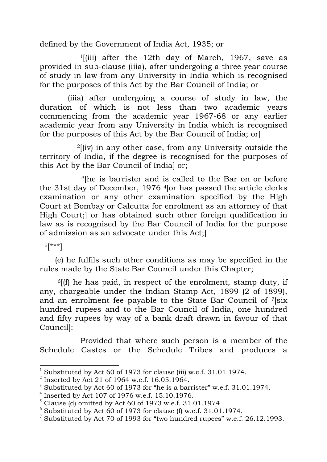defined by the Government of India Act, 1935; or

 $1$ [(iii) after the 12th day of March, 1967, save as provided in sub-clause (iiia), after undergoing a three year course of study in law from any University in India which is recognised for the purposes of this Act by the Bar Council of India; or

(iiia) after undergoing a course of study in law, the duration of which is not less than two academic years commencing from the academic year 1967-68 or any earlier academic year from any University in India which is recognised for the purposes of this Act by the Bar Council of India; or]

 $2$ [(iv) in any other case, from any University outside the territory of India, if the degree is recognised for the purposes of this Act by the Bar Council of India] or;

3[he is barrister and is called to the Bar on or before the 31st day of December, 1976 4[or has passed the article clerks examination or any other examination specified by the High Court at Bombay or Calcutta for enrolment as an attorney of that High Court;] or has obtained such other foreign qualification in law as is recognised by the Bar Council of India for the purpose of admission as an advocate under this Act;]

5[\*\*\*]

(e) he fulfils such other conditions as may be specified in the rules made by the State Bar Council under this Chapter;

 $6$ [(f) he has paid, in respect of the enrolment, stamp duty, if any, chargeable under the Indian Stamp Act, 1899 (2 of 1899), and an enrolment fee payable to the State Bar Council of 7[six hundred rupees and to the Bar Council of India, one hundred and fifty rupees by way of a bank draft drawn in favour of that Council]:

Provided that where such person is a member of the Schedule Castes or the Schedule Tribes and produces a

 <sup>1</sup> Substituted by Act 60 of 1973 for clause (iii) w.e.f. 31.01.1974.

 $^{2}$  Inserted by Act 21 of 1964 w.e.f. 16.05.1964.

 $3$  Substituted by Act 60 of 1973 for "he is a barrister" w.e.f. 31.01.1974.

<sup>4</sup> Inserted by Act 107 of 1976 w.e.f. 15.10.1976.

 $<sup>5</sup>$  Clause (d) omitted by Act 60 of 1973 w.e.f. 31.01.1974</sup>

 $6$  Substituted by Act 60 of 1973 for clause (f) w.e.f. 31.01.1974.

<sup>&</sup>lt;sup>7</sup> Substituted by Act 70 of 1993 for "two hundred rupees" w.e.f. 26.12.1993.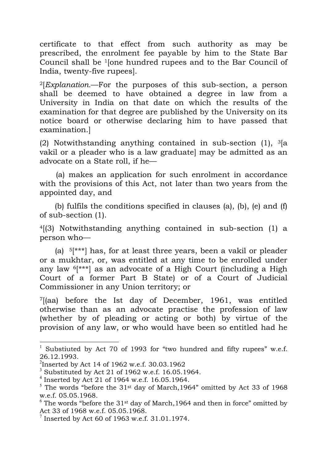certificate to that effect from such authority as may be prescribed, the enrolment fee payable by him to the State Bar Council shall be 1[one hundred rupees and to the Bar Council of India, twenty-five rupees].

2[*Explanation.*—For the purposes of this sub-section, a person shall be deemed to have obtained a degree in law from a University in India on that date on which the results of the examination for that degree are published by the University on its notice board or otherwise declaring him to have passed that examination.]

(2) Notwithstanding anything contained in sub-section  $(1)$ ,  $\frac{3}{a}$ vakil or a pleader who is a law graduate] may be admitted as an advocate on a State roll, if he—

(a) makes an application for such enrolment in accordance with the provisions of this Act, not later than two years from the appointed day, and

(b) fulfils the conditions specified in clauses (a), (b), (e) and (f) of sub-section (1).

4[(3) Notwithstanding anything contained in sub-section (1) a person who—

(a)  $5$ [\*\*\*] has, for at least three years, been a vakil or pleader or a mukhtar, or, was entitled at any time to be enrolled under any law 6[\*\*\*] as an advocate of a High Court (including a High Court of a former Part B State) or of a Court of Judicial Commissioner in any Union territory; or

7[(aa) before the Ist day of December, 1961, was entitled otherwise than as an advocate practise the profession of law (whether by of pleading or acting or both) by virtue of the provision of any law, or who would have been so entitled had he

Substiuted by Act 70 of 1993 for "two hundred and fifty rupees" w.e.f. 26.12.1993.

 $^2$ Inserted by Act 14 of 1962 w.e.f. 30.03.1962

 $3$  Substituted by Act 21 of 1962 w.e.f. 16.05.1964.

 $4$  Inserted by Act 21 of 1964 w.e.f. 16.05.1964.

 $5$  The words "before the 31<sup>st</sup> day of March, 1964" omitted by Act 33 of 1968 w.e.f. 05.05.1968.

 $6$  The words "before the 31<sup>st</sup> day of March, 1964 and then in force" omitted by Act 33 of 1968 w.e.f. 05.05.1968.

 $^7$  Inserted by Act 60 of 1963 w.e.f. 31.01.1974.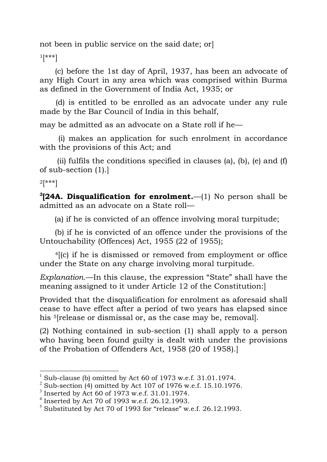not been in public service on the said date; or]

 $1$ [\*\*\*]

(c) before the 1st day of April, 1937, has been an advocate of any High Court in any area which was comprised within Burma as defined in the Government of India Act, 1935; or

(d) is entitled to be enrolled as an advocate under any rule made by the Bar Council of India in this behalf,

may be admitted as an advocate on a State roll if he—

(i) makes an application for such enrolment in accordance with the provisions of this Act; and

(ii) fulfils the conditions specified in clauses (a), (b), (e) and  $(f)$ of sub-section (1).]

 $2[***]$ 

**3 [24A. Disqualification for enrolment.**—(1) No person shall be admitted as an advocate on a State roll—

(a) if he is convicted of an offence involving moral turpitude;

(b) if he is convicted of an offence under the provisions of the Untouchability (Offences) Act, 1955 (22 of 1955);

4[(c) if he is dismissed or removed from employment or office under the State on any charge involving moral turpitude.

*Explanation*.—In this clause, the expression "State" shall have the meaning assigned to it under Article 12 of the Constitution:]

Provided that the disqualification for enrolment as aforesaid shall cease to have effect after a period of two years has elapsed since his <sup>5</sup>[release or dismissal or, as the case may be, removal].

(2) Nothing contained in sub-section (1) shall apply to a person who having been found guilty is dealt with under the provisions of the Probation of Offenders Act, 1958 (20 of 1958).]

 <sup>1</sup> Sub-clause (b) omitted by Act 60 of 1973 w.e.f. 31.01.1974.

 $2$  Sub-section (4) omitted by Act 107 of 1976 w.e.f. 15.10.1976.

 $3$  Inserted by Act 60 of 1973 w.e.f. 31.01.1974.

<sup>4</sup> Inserted by Act 70 of 1993 w.e.f. 26.12.1993.

 $5$  Substituted by Act 70 of 1993 for "release" w.e.f. 26.12.1993.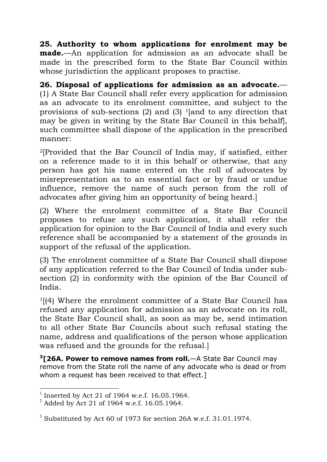**25. Authority to whom applications for enrolment may be made.**—An application for admission as an advocate shall be made in the prescribed form to the State Bar Council within whose jurisdiction the applicant proposes to practise.

**26. Disposal of applications for admission as an advocate.**— (1) A State Bar Council shall refer every application for admission as an advocate to its enrolment committee, and subject to the provisions of sub-sections  $(2)$  and  $(3)$  <sup>1</sup>[and to any direction that may be given in writing by the State Bar Council in this behalf], such committee shall dispose of the application in the prescribed manner:

2[Provided that the Bar Council of India may, if satisfied, either on a reference made to it in this behalf or otherwise, that any person has got his name entered on the roll of advocates by misrepresentation as to an essential fact or by fraud or undue influence, remove the name of such person from the roll of advocates after giving him an opportunity of being heard.]

(2) Where the enrolment committee of a State Bar Council proposes to refuse any such application, it shall refer the application for opinion to the Bar Council of India and every such reference shall be accompanied by a statement of the grounds in support of the refusal of the application.

(3) The enrolment committee of a State Bar Council shall dispose of any application referred to the Bar Council of India under subsection (2) in conformity with the opinion of the Bar Council of India.

 $1$ [(4) Where the enrolment committee of a State Bar Council has refused any application for admission as an advocate on its roll, the State Bar Council shall, as soon as may be, send intimation to all other State Bar Councils about such refusal stating the name, address and qualifications of the person whose application was refused and the grounds for the refusal.]

**3[26A. Power to remove names from roll.**—A State Bar Council may remove from the State roll the name of any advocate who is dead or from whom a request has been received to that effect.

 <sup>1</sup> Inserted by Act 21 of 1964 w.e.f. 16.05.1964.

 $^{2}$  Added by Act 21 of 1964 w.e.f. 16.05.1964.

 $3$  Substituted by Act 60 of 1973 for section 26A w.e.f. 31.01.1974.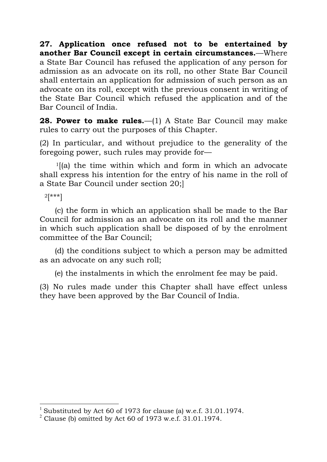**27. Application once refused not to be entertained by another Bar Council except in certain circumstances.**—Where a State Bar Council has refused the application of any person for admission as an advocate on its roll, no other State Bar Council shall entertain an application for admission of such person as an advocate on its roll, except with the previous consent in writing of the State Bar Council which refused the application and of the Bar Council of India.

**28. Power to make rules.**—(1) A State Bar Council may make rules to carry out the purposes of this Chapter.

(2) In particular, and without prejudice to the generality of the foregoing power, such rules may provide for—

 $<sup>1</sup>$ [(a) the time within which and form in which an advocate</sup> shall express his intention for the entry of his name in the roll of a State Bar Council under section 20;]

 $2[***]$ 

(c) the form in which an application shall be made to the Bar Council for admission as an advocate on its roll and the manner in which such application shall be disposed of by the enrolment committee of the Bar Council;

(d) the conditions subject to which a person may be admitted as an advocate on any such roll;

(e) the instalments in which the enrolment fee may be paid.

(3) No rules made under this Chapter shall have effect unless they have been approved by the Bar Council of India.

<sup>&</sup>lt;sup>1</sup> Substituted by Act 60 of 1973 for clause (a) w.e.f. 31.01.1974.

 $2$  Clause (b) omitted by Act 60 of 1973 w.e.f. 31.01.1974.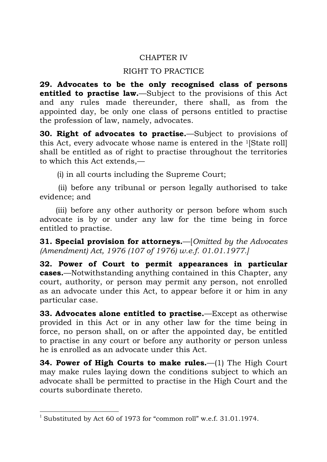# CHAPTER IV

# RIGHT TO PRACTICE

**29. Advocates to be the only recognised class of persons entitled to practise law.**—Subject to the provisions of this Act and any rules made thereunder, there shall, as from the appointed day, be only one class of persons entitled to practise the profession of law, namely, advocates.

**30. Right of advocates to practise.**—Subject to provisions of this Act, every advocate whose name is entered in the 1[State roll] shall be entitled as of right to practise throughout the territories to which this Act extends,—

(i) in all courts including the Supreme Court;

(ii) before any tribunal or person legally authorised to take evidence; and

(iii) before any other authority or person before whom such advocate is by or under any law for the time being in force entitled to practise.

**31. Special provision for attorneys.**—[*Omitted by the Advocates (Amendment) Act, 1976 (107 of 1976) w.e.f. 01.01.1977.]*

**32. Power of Court to permit appearances in particular cases.**—Notwithstanding anything contained in this Chapter, any court, authority, or person may permit any person, not enrolled as an advocate under this Act, to appear before it or him in any particular case.

**33. Advocates alone entitled to practise.**—Except as otherwise provided in this Act or in any other law for the time being in force, no person shall, on or after the appointed day, be entitled to practise in any court or before any authority or person unless he is enrolled as an advocate under this Act.

**34. Power of High Courts to make rules.**—(1) The High Court may make rules laying down the conditions subject to which an advocate shall be permitted to practise in the High Court and the courts subordinate thereto.

<sup>&</sup>lt;sup>1</sup> Substituted by Act 60 of 1973 for "common roll" w.e.f. 31.01.1974.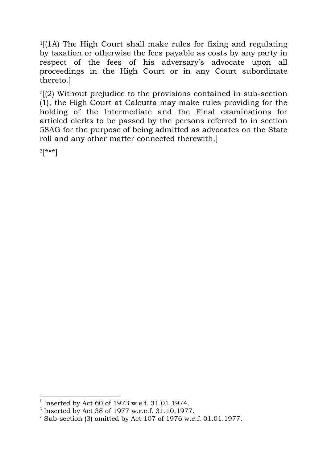$1$ [(1A) The High Court shall make rules for fixing and regulating by taxation or otherwise the fees payable as costs by any party in respect of the fees of his adversary's advocate upon all proceedings in the High Court or in any Court subordinate thereto.]

2[(2) Without prejudice to the provisions contained in sub-section (1), the High Court at Calcutta may make rules providing for the holding of the Intermediate and the Final examinations for articled clerks to be passed by the persons referred to in section 58AG for the purpose of being admitted as advocates on the State roll and any other matter connected therewith.]

3[\*\*\*]

 <sup>1</sup> Inserted by Act 60 of 1973 w.e.f. 31.01.1974.

 $2$  Inserted by Act 38 of 1977 w.r.e.f. 31.10.1977.

 $3$  Sub-section (3) omitted by Act 107 of 1976 w.e.f. 01.01.1977.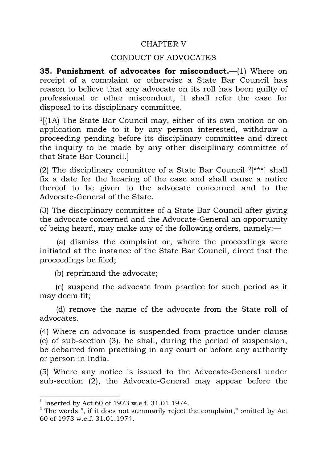## CHAPTER V

### CONDUCT OF ADVOCATES

**35. Punishment of advocates for misconduct.**—(1) Where on receipt of a complaint or otherwise a State Bar Council has reason to believe that any advocate on its roll has been guilty of professional or other misconduct, it shall refer the case for disposal to its disciplinary committee.

 $1[(1A)$  The State Bar Council may, either of its own motion or on application made to it by any person interested, withdraw a proceeding pending before its disciplinary committee and direct the inquiry to be made by any other disciplinary committee of that State Bar Council.]

(2) The disciplinary committee of a State Bar Council  $2[***]$  shall fix a date for the hearing of the case and shall cause a notice thereof to be given to the advocate concerned and to the Advocate-General of the State.

(3) The disciplinary committee of a State Bar Council after giving the advocate concerned and the Advocate-General an opportunity of being heard, may make any of the following orders, namely:—

(a) dismiss the complaint or, where the proceedings were initiated at the instance of the State Bar Council, direct that the proceedings be filed;

(b) reprimand the advocate;

(c) suspend the advocate from practice for such period as it may deem fit;

(d) remove the name of the advocate from the State roll of advocates.

(4) Where an advocate is suspended from practice under clause (c) of sub-section (3), he shall, during the period of suspension, be debarred from practising in any court or before any authority or person in India.

(5) Where any notice is issued to the Advocate-General under sub-section (2), the Advocate-General may appear before the

 <sup>1</sup> Inserted by Act 60 of 1973 w.e.f. 31.01.1974.

 $2$  The words ", if it does not summarily reject the complaint," omitted by Act 60 of 1973 w.e.f. 31.01.1974.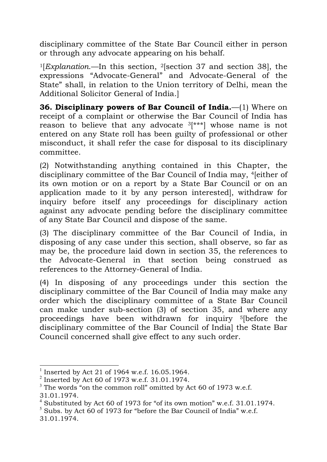disciplinary committee of the State Bar Council either in person or through any advocate appearing on his behalf.

1[*Explanation*.—In this section, 2[section 37 and section 38], the expressions "Advocate-General" and Advocate-General of the State" shall, in relation to the Union territory of Delhi, mean the Additional Solicitor General of India.]

**36. Disciplinary powers of Bar Council of India.**—(1) Where on receipt of a complaint or otherwise the Bar Council of India has reason to believe that any advocate  $3$ [\*\*\*] whose name is not entered on any State roll has been guilty of professional or other misconduct, it shall refer the case for disposal to its disciplinary committee.

(2) Notwithstanding anything contained in this Chapter, the disciplinary committee of the Bar Council of India may, 4[either of its own motion or on a report by a State Bar Council or on an application made to it by any person interested], withdraw for inquiry before itself any proceedings for disciplinary action against any advocate pending before the disciplinary committee of any State Bar Council and dispose of the same.

(3) The disciplinary committee of the Bar Council of India, in disposing of any case under this section, shall observe, so far as may be, the procedure laid down in section 35, the references to the Advocate-General in that section being construed as references to the Attorney-General of India.

(4) In disposing of any proceedings under this section the disciplinary committee of the Bar Council of India may make any order which the disciplinary committee of a State Bar Council can make under sub-section (3) of section 35, and where any proceedings have been withdrawn for inquiry 5[before the disciplinary committee of the Bar Council of India] the State Bar Council concerned shall give effect to any such order.

 <sup>1</sup> Inserted by Act 21 of 1964 w.e.f. 16.05.1964.

 $^{2}$  Inserted by Act 60 of 1973 w.e.f. 31.01.1974.

 $3$  The words "on the common roll" omitted by Act 60 of 1973 w.e.f. 31.01.1974.

 $4$  Substituted by Act 60 of 1973 for "of its own motion" w.e.f. 31.01.1974.

 $5$  Subs. by Act 60 of 1973 for "before the Bar Council of India" w.e.f. 31.01.1974.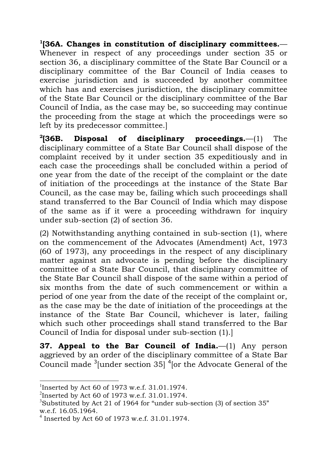**1[36A. Changes in constitution of disciplinary committees.**— Whenever in respect of any proceedings under section 35 or section 36, a disciplinary committee of the State Bar Council or a disciplinary committee of the Bar Council of India ceases to exercise jurisdiction and is succeeded by another committee which has and exercises jurisdiction, the disciplinary committee of the State Bar Council or the disciplinary committee of the Bar Council of India, as the case may be, so succeeding may continue the proceeding from the stage at which the proceedings were so left by its predecessor committee.]

**2[36B. Disposal of disciplinary proceedings.**—(1) The disciplinary committee of a State Bar Council shall dispose of the complaint received by it under section 35 expeditiously and in each case the proceedings shall be concluded within a period of one year from the date of the receipt of the complaint or the date of initiation of the proceedings at the instance of the State Bar Council, as the case may be, failing which such proceedings shall stand transferred to the Bar Council of India which may dispose of the same as if it were a proceeding withdrawn for inquiry under sub-section (2) of section 36.

(2) Notwithstanding anything contained in sub-section (1), where on the commencement of the Advocates (Amendment) Act, 1973 (60 of 1973), any proceedings in the respect of any disciplinary matter against an advocate is pending before the disciplinary committee of a State Bar Council, that disciplinary committee of the State Bar Council shall dispose of the same within a period of six months from the date of such commencement or within a period of one year from the date of the receipt of the complaint or, as the case may be the date of initiation of the proceedings at the instance of the State Bar Council, whichever is later, failing which such other proceedings shall stand transferred to the Bar Council of India for disposal under sub-section (1).]

**37. Appeal to the Bar Council of India.**—(1) Any person aggrieved by an order of the disciplinary committee of a State Bar Council made  $3$  [under section 35]  $4$  [or the Advocate General of the

 <sup>1</sup> Inserted by Act 60 of 1973 w.e.f. 31.01.1974.

<sup>&</sup>lt;sup>2</sup> Inserted by Act 60 of 1973 w.e.f. 31.01.1974.

<sup>&</sup>lt;sup>3</sup>Substituted by Act 21 of 1964 for "under sub-section (3) of section 35" w.e.f. 16.05.1964.

 $^{4}$  Inserted by Act 60 of 1973 w.e.f. 31.01.1974.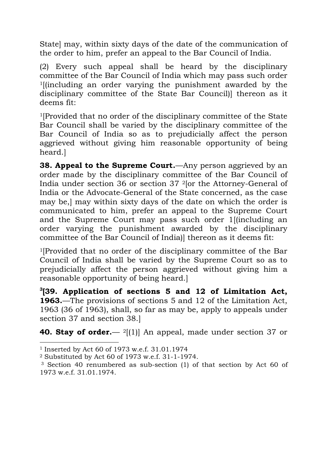State] may, within sixty days of the date of the communication of the order to him, prefer an appeal to the Bar Council of India.

(2) Every such appeal shall be heard by the disciplinary committee of the Bar Council of India which may pass such order 1[(including an order varying the punishment awarded by the disciplinary committee of the State Bar Council)] thereon as it deems fit:

1[Provided that no order of the disciplinary committee of the State Bar Council shall be varied by the disciplinary committee of the Bar Council of India so as to prejudicially affect the person aggrieved without giving him reasonable opportunity of being heard.]

**38. Appeal to the Supreme Court.**—Any person aggrieved by an order made by the disciplinary committee of the Bar Council of India under section 36 or section 37 2[or the Attorney-General of India or the Advocate-General of the State concerned, as the case may be,] may within sixty days of the date on which the order is communicated to him, prefer an appeal to the Supreme Court and the Supreme Court may pass such order 1[(including an order varying the punishment awarded by the disciplinary committee of the Bar Council of India)] thereon as it deems fit:

1[Provided that no order of the disciplinary committee of the Bar Council of India shall be varied by the Supreme Court so as to prejudicially affect the person aggrieved without giving him a reasonable opportunity of being heard.]

**3 [39. Application of sections 5 and 12 of Limitation Act, 1963.**—The provisions of sections 5 and 12 of the Limitation Act, 1963 (36 of 1963), shall, so far as may be, apply to appeals under section 37 and section 38.]

**40. Stay of order.**— 2[(1)] An appeal, made under section 37 or

 $\overline{a}$ 

<sup>1</sup> Inserted by Act 60 of 1973 w.e.f. 31.01.1974

<sup>2</sup> Substituted by Act 60 of 1973 w.e.f. 31-1-1974.

<sup>3</sup> Section 40 renumbered as sub-section (1) of that section by Act 60 of 1973 w.e.f. 31.01.1974.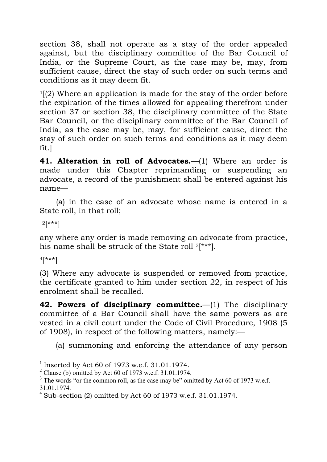section 38, shall not operate as a stay of the order appealed against, but the disciplinary committee of the Bar Council of India, or the Supreme Court, as the case may be, may, from sufficient cause, direct the stay of such order on such terms and conditions as it may deem fit.

 $1(2)$  Where an application is made for the stay of the order before the expiration of the times allowed for appealing therefrom under section 37 or section 38, the disciplinary committee of the State Bar Council, or the disciplinary committee of the Bar Council of India, as the case may be, may, for sufficient cause, direct the stay of such order on such terms and conditions as it may deem fit.]

**41. Alteration in roll of Advocates.**—(1) Where an order is made under this Chapter reprimanding or suspending an advocate, a record of the punishment shall be entered against his name—

(a) in the case of an advocate whose name is entered in a State roll, in that roll;

 $2[***]$ 

any where any order is made removing an advocate from practice, his name shall be struck of the State roll 3[\*\*\*].

4[\*\*\*]

(3) Where any advocate is suspended or removed from practice, the certificate granted to him under section 22, in respect of his enrolment shall be recalled.

**42. Powers of disciplinary committee.**—(1) The disciplinary committee of a Bar Council shall have the same powers as are vested in a civil court under the Code of Civil Procedure, 1908 (5 of 1908), in respect of the following matters, namely:—

(a) summoning and enforcing the attendance of any person

 <sup>1</sup> Inserted by Act 60 of 1973 w.e.f. 31.01.1974.

 $2$  Clause (b) omitted by Act 60 of 1973 w.e.f. 31.01.1974.

 $3$  The words "or the common roll, as the case may be" omitted by Act 60 of 1973 w.e.f.

<sup>31.01.1974.</sup> <sup>4</sup> Sub-section (2) omitted by Act 60 of 1973 w.e.f. 31.01.1974.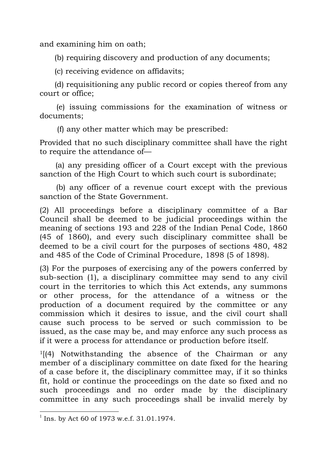and examining him on oath;

(b) requiring discovery and production of any documents;

(c) receiving evidence on affidavits;

(d) requisitioning any public record or copies thereof from any court or office;

(e) issuing commissions for the examination of witness or documents;

(f) any other matter which may be prescribed:

Provided that no such disciplinary committee shall have the right to require the attendance of—

(a) any presiding officer of a Court except with the previous sanction of the High Court to which such court is subordinate;

(b) any officer of a revenue court except with the previous sanction of the State Government.

(2) All proceedings before a disciplinary committee of a Bar Council shall be deemed to be judicial proceedings within the meaning of sections 193 and 228 of the Indian Penal Code, 1860 (45 of 1860), and every such disciplinary committee shall be deemed to be a civil court for the purposes of sections 480, 482 and 485 of the Code of Criminal Procedure, 1898 (5 of 1898).

(3) For the purposes of exercising any of the powers conferred by sub-section (1), a disciplinary committee may send to any civil court in the territories to which this Act extends, any summons or other process, for the attendance of a witness or the production of a document required by the committee or any commission which it desires to issue, and the civil court shall cause such process to be served or such commission to be issued, as the case may be, and may enforce any such process as if it were a process for attendance or production before itself.

 $1$ [(4) Notwithstanding the absence of the Chairman or any member of a disciplinary committee on date fixed for the hearing of a case before it, the disciplinary committee may, if it so thinks fit, hold or continue the proceedings on the date so fixed and no such proceedings and no order made by the disciplinary committee in any such proceedings shall be invalid merely by

 <sup>1</sup> Ins. by Act 60 of 1973 w.e.f. 31.01.1974.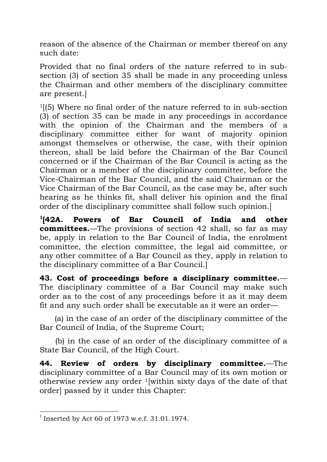reason of the absence of the Chairman or member thereof on any such date:

Provided that no final orders of the nature referred to in subsection (3) of section 35 shall be made in any proceeding unless the Chairman and other members of the disciplinary committee are present.]

1[(5) Where no final order of the nature referred to in sub-section (3) of section 35 can be made in any proceedings in accordance with the opinion of the Chairman and the members of a disciplinary committee either for want of majority opinion amongst themselves or otherwise, the case, with their opinion thereon, shall be laid before the Chairman of the Bar Council concerned or if the Chairman of the Bar Council is acting as the Chairman or a member of the disciplinary committee, before the Vice-Chairman of the Bar Council, and the said Chairman or the Vice Chairman of the Bar Council, as the case may be, after such hearing as he thinks fit, shall deliver his opinion and the final order of the disciplinary committee shall follow such opinion.]

 $^{1}$ [42A. **[42A. Powers of Bar Council of India and other committees.**—The provisions of section 42 shall, so far as may be, apply in relation to the Bar Council of India, the enrolment committee, the election committee, the legal aid committee, or any other committee of a Bar Council as they, apply in relation to the disciplinary committee of a Bar Council.]

**43. Cost of proceedings before a disciplinary committee.**— The disciplinary committee of a Bar Council may make such order as to the cost of any proceedings before it as it may deem fit and any such order shall be executable as it were an order—

(a) in the case of an order of the disciplinary committee of the Bar Council of India, of the Supreme Court;

(b) in the case of an order of the disciplinary committee of a State Bar Council, of the High Court.

**44. Review of orders by disciplinary committee.**—The disciplinary committee of a Bar Council may of its own motion or otherwise review any order 1[within sixty days of the date of that order] passed by it under this Chapter:

<sup>&</sup>lt;sup>1</sup> Inserted by Act 60 of 1973 w.e.f. 31.01.1974.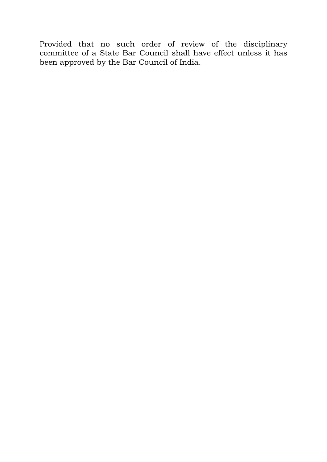Provided that no such order of review of the disciplinary committee of a State Bar Council shall have effect unless it has been approved by the Bar Council of India.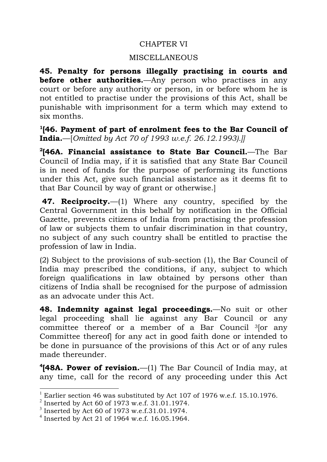# CHAPTER VI

# MISCELLANEOUS

**45. Penalty for persons illegally practising in courts and before other authorities.**—Any person who practises in any court or before any authority or person, in or before whom he is not entitled to practise under the provisions of this Act, shall be punishable with imprisonment for a term which may extend to six months.

**1[46. Payment of part of enrolment fees to the Bar Council of India.**—[*Omitted by Act 70 of 1993 w.e.f. 26.12.1993).]]*

**2[46A. Financial assistance to State Bar Council.**—The Bar Council of India may, if it is satisfied that any State Bar Council is in need of funds for the purpose of performing its functions under this Act, give such financial assistance as it deems fit to that Bar Council by way of grant or otherwise.]

**47. Reciprocity.**—(1) Where any country, specified by the Central Government in this behalf by notification in the Official Gazette, prevents citizens of India from practising the profession of law or subjects them to unfair discrimination in that country, no subject of any such country shall be entitled to practise the profession of law in India.

(2) Subject to the provisions of sub-section (1), the Bar Council of India may prescribed the conditions, if any, subject to which foreign qualifications in law obtained by persons other than citizens of India shall be recognised for the purpose of admission as an advocate under this Act.

**48. Indemnity against legal proceedings.**—No suit or other legal proceeding shall lie against any Bar Council or any committee thereof or a member of a Bar Council <sup>3</sup> or any Committee thereof] for any act in good faith done or intended to be done in pursuance of the provisions of this Act or of any rules made thereunder.

**4[48A. Power of revision.**—(1) The Bar Council of India may, at any time, call for the record of any proceeding under this Act

 <sup>1</sup> Earlier section 46 was substituted by Act 107 of 1976 w.e.f. 15.10.1976.

 $^{2}$  Inserted by Act 60 of 1973 w.e.f. 31.01.1974.

<sup>3</sup> Inserted by Act 60 of 1973 w.e.f.31.01.1974.

 $4$  Inserted by Act 21 of 1964 w.e.f. 16.05.1964.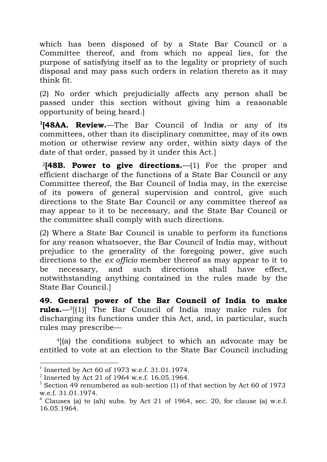which has been disposed of by a State Bar Council or a Committee thereof, and from which no appeal lies, for the purpose of satisfying itself as to the legality or propriety of such disposal and may pass such orders in relation thereto as it may think fit.

(2) No order which prejudicially affects any person shall be passed under this section without giving him a reasonable opportunity of being heard.]

**1[48AA. Review.**—The Bar Council of India or any of its committees, other than its disciplinary committee, may of its own motion or otherwise review any order, within sixty days of the date of that order, passed by it under this Act.]

<sup>2</sup>**[48B. Power to give directions.**—(1) For the proper and efficient discharge of the functions of a State Bar Council or any Committee thereof, the Bar Council of India may, in the exercise of its powers of general supervision and control, give such directions to the State Bar Council or any committee thereof as may appear to it to be necessary, and the State Bar Council or the committee shall comply with such directions.

(2) Where a State Bar Council is unable to perform its functions for any reason whatsoever, the Bar Council of India may, without prejudice to the generality of the foregoing power, give such directions to the *ex officio* member thereof as may appear to it to be necessary, and such directions shall have effect, notwithstanding anything contained in the rules made by the State Bar Council.]

**49. General power of the Bar Council of India to make rules.**—3[(1)] The Bar Council of India may make rules for discharging its functions under this Act, and, in particular, such rules may prescribe—

4[(a) the conditions subject to which an advocate may be entitled to vote at an election to the State Bar Council including

 <sup>1</sup> Inserted by Act 60 of 1973 w.e.f. 31.01.1974.

 $^{2}$  Inserted by Act 21 of 1964 w.e.f. 16.05.1964.

 $3$  Section 49 renumbered as sub-section (1) of that section by Act 60 of 1973 w.e.f. 31.01.1974.

<sup>&</sup>lt;sup>4</sup> Clauses (a) to (ah) subs. by Act 21 of 1964, sec. 20, for clause (a) w.e.f. 16.05.1964.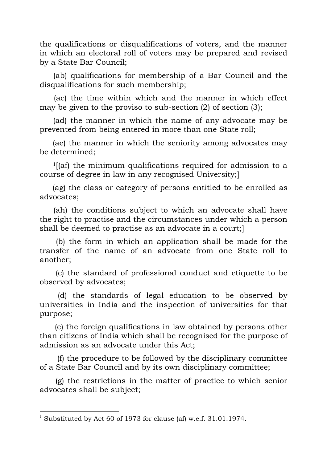the qualifications or disqualifications of voters, and the manner in which an electoral roll of voters may be prepared and revised by a State Bar Council;

(ab) qualifications for membership of a Bar Council and the disqualifications for such membership;

(ac) the time within which and the manner in which effect may be given to the proviso to sub-section (2) of section (3);

(ad) the manner in which the name of any advocate may be prevented from being entered in more than one State roll;

(ae) the manner in which the seniority among advocates may be determined;

1[(af) the minimum qualifications required for admission to a course of degree in law in any recognised University;]

(ag) the class or category of persons entitled to be enrolled as advocates;

(ah) the conditions subject to which an advocate shall have the right to practise and the circumstances under which a person shall be deemed to practise as an advocate in a court;]

(b) the form in which an application shall be made for the transfer of the name of an advocate from one State roll to another;

(c) the standard of professional conduct and etiquette to be observed by advocates;

(d) the standards of legal education to be observed by universities in India and the inspection of universities for that purpose;

(e) the foreign qualifications in law obtained by persons other than citizens of India which shall be recognised for the purpose of admission as an advocate under this Act;

(f) the procedure to be followed by the disciplinary committee of a State Bar Council and by its own disciplinary committee;

(g) the restrictions in the matter of practice to which senior advocates shall be subject;

 <sup>1</sup> Substituted by Act 60 of 1973 for clause (af) w.e.f. 31.01.1974.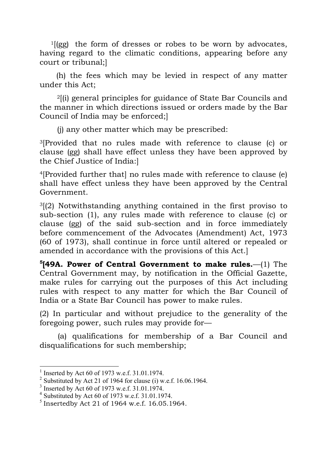$1$ [(gg) the form of dresses or robes to be worn by advocates, having regard to the climatic conditions, appearing before any court or tribunal;]

(h) the fees which may be levied in respect of any matter under this Act;

2[(i) general principles for guidance of State Bar Councils and the manner in which directions issued or orders made by the Bar Council of India may be enforced;]

(j) any other matter which may be prescribed:

3[Provided that no rules made with reference to clause (c) or clause (gg) shall have effect unless they have been approved by the Chief Justice of India:]

4[Provided further that] no rules made with reference to clause (e) shall have effect unless they have been approved by the Central Government.

 $3(2)$  Notwithstanding anything contained in the first proviso to sub-section (1), any rules made with reference to clause (c) or clause (gg) of the said sub-section and in force immediately before commencement of the Advocates (Amendment) Act, 1973 (60 of 1973), shall continue in force until altered or repealed or amended in accordance with the provisions of this Act.]

**5[49A. Power of Central Government to make rules.**—(1) The Central Government may, by notification in the Official Gazette, make rules for carrying out the purposes of this Act including rules with respect to any matter for which the Bar Council of India or a State Bar Council has power to make rules.

(2) In particular and without prejudice to the generality of the foregoing power, such rules may provide for—

(a) qualifications for membership of a Bar Council and disqualifications for such membership;

 $1$  Inserted by Act 60 of 1973 w.e.f. 31.01.1974.

<sup>&</sup>lt;sup>2</sup> Substituted by Act 21 of 1964 for clause (i) w.e.f. 16.06.1964.<br><sup>3</sup> Inserted by Act 60 of 1973 w.e.f. 31.01.1974.

<sup>4</sup> Substituted by Act 60 of 1973 w.e.f. 31.01.1974.

 $<sup>5</sup>$  Insertedby Act 21 of 1964 w.e.f. 16.05.1964.</sup>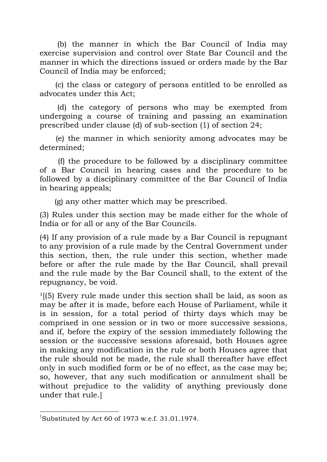(b) the manner in which the Bar Council of India may exercise supervision and control over State Bar Council and the manner in which the directions issued or orders made by the Bar Council of India may be enforced;

(c) the class or category of persons entitled to be enrolled as advocates under this Act;

(d) the category of persons who may be exempted from undergoing a course of training and passing an examination prescribed under clause (d) of sub-section (1) of section 24;

(e) the manner in which seniority among advocates may be determined;

(f) the procedure to be followed by a disciplinary committee of a Bar Council in hearing cases and the procedure to be followed by a disciplinary committee of the Bar Council of India in hearing appeals;

(g) any other matter which may be prescribed.

(3) Rules under this section may be made either for the whole of India or for all or any of the Bar Councils.

(4) If any provision of a rule made by a Bar Council is repugnant to any provision of a rule made by the Central Government under this section, then, the rule under this section, whether made before or after the rule made by the Bar Council, shall prevail and the rule made by the Bar Council shall, to the extent of the repugnancy, be void.

 $1(5)$  Every rule made under this section shall be laid, as soon as may be after it is made, before each House of Parliament, while it is in session, for a total period of thirty days which may be comprised in one session or in two or more successive sessions, and if, before the expiry of the session immediately following the session or the successive sessions aforesaid, both Houses agree in making any modification in the rule or both Houses agree that the rule should not be made, the rule shall thereafter have effect only in such modified form or be of no effect, as the case may be; so, however, that any such modification or annulment shall be without prejudice to the validity of anything previously done under that rule.]

 <sup>1</sup> Substituted by Act 60 of 1973 w.e.f. 31.01.1974.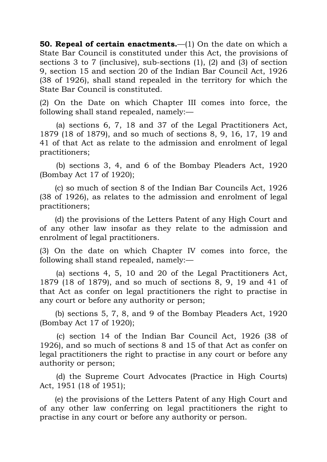**50. Repeal of certain enactments.**—(1) On the date on which a State Bar Council is constituted under this Act, the provisions of sections 3 to 7 (inclusive), sub-sections (1), (2) and (3) of section 9, section 15 and section 20 of the Indian Bar Council Act, 1926 (38 of 1926), shall stand repealed in the territory for which the State Bar Council is constituted.

(2) On the Date on which Chapter III comes into force, the following shall stand repealed, namely:—

(a) sections 6, 7, 18 and 37 of the Legal Practitioners Act, 1879 (18 of 1879), and so much of sections 8, 9, 16, 17, 19 and 41 of that Act as relate to the admission and enrolment of legal practitioners;

(b) sections 3, 4, and 6 of the Bombay Pleaders Act, 1920 (Bombay Act 17 of 1920);

(c) so much of section 8 of the Indian Bar Councils Act, 1926 (38 of 1926), as relates to the admission and enrolment of legal practitioners;

(d) the provisions of the Letters Patent of any High Court and of any other law insofar as they relate to the admission and enrolment of legal practitioners.

(3) On the date on which Chapter IV comes into force, the following shall stand repealed, namely:—

(a) sections 4, 5, 10 and 20 of the Legal Practitioners Act, 1879 (18 of 1879), and so much of sections 8, 9, 19 and 41 of that Act as confer on legal practitioners the right to practise in any court or before any authority or person;

(b) sections 5, 7, 8, and 9 of the Bombay Pleaders Act, 1920 (Bombay Act 17 of 1920);

(c) section 14 of the Indian Bar Council Act, 1926 (38 of 1926), and so much of sections 8 and 15 of that Act as confer on legal practitioners the right to practise in any court or before any authority or person;

(d) the Supreme Court Advocates (Practice in High Courts) Act, 1951 (18 of 1951);

(e) the provisions of the Letters Patent of any High Court and of any other law conferring on legal practitioners the right to practise in any court or before any authority or person.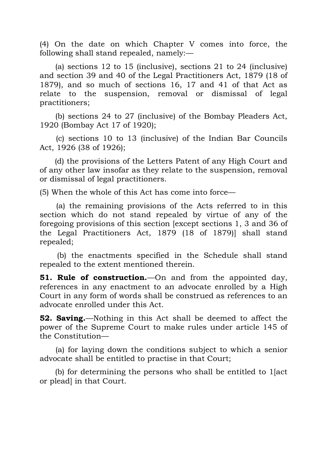(4) On the date on which Chapter V comes into force, the following shall stand repealed, namely:—

(a) sections 12 to 15 (inclusive), sections 21 to 24 (inclusive) and section 39 and 40 of the Legal Practitioners Act, 1879 (18 of 1879), and so much of sections 16, 17 and 41 of that Act as relate to the suspension, removal or dismissal of legal practitioners;

(b) sections 24 to 27 (inclusive) of the Bombay Pleaders Act, 1920 (Bombay Act 17 of 1920);

(c) sections 10 to 13 (inclusive) of the Indian Bar Councils Act, 1926 (38 of 1926);

(d) the provisions of the Letters Patent of any High Court and of any other law insofar as they relate to the suspension, removal or dismissal of legal practitioners.

(5) When the whole of this Act has come into force—

(a) the remaining provisions of the Acts referred to in this section which do not stand repealed by virtue of any of the foregoing provisions of this section [except sections 1, 3 and 36 of the Legal Practitioners Act, 1879 (18 of 1879)] shall stand repealed;

(b) the enactments specified in the Schedule shall stand repealed to the extent mentioned therein.

**51. Rule of construction.**—On and from the appointed day, references in any enactment to an advocate enrolled by a High Court in any form of words shall be construed as references to an advocate enrolled under this Act.

**52. Saving.**—Nothing in this Act shall be deemed to affect the power of the Supreme Court to make rules under article 145 of the Constitution—

(a) for laying down the conditions subject to which a senior advocate shall be entitled to practise in that Court;

(b) for determining the persons who shall be entitled to 1[act or plead] in that Court.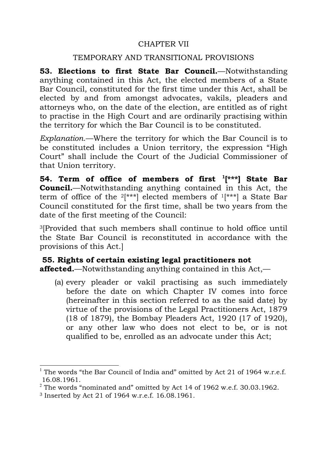## CHAPTER VII

### TEMPORARY AND TRANSITIONAL PROVISIONS

**53. Elections to first State Bar Council.**—Notwithstanding anything contained in this Act, the elected members of a State Bar Council, constituted for the first time under this Act, shall be elected by and from amongst advocates, vakils, pleaders and attorneys who, on the date of the election, are entitled as of right to practise in the High Court and are ordinarily practising within the territory for which the Bar Council is to be constituted.

*Explanation*.—Where the territory for which the Bar Council is to be constituted includes a Union territory, the expression "High Court" shall include the Court of the Judicial Commissioner of that Union territory.

**54. Term of office of members of first 1[\*\*\*] State Bar Council.**—Notwithstanding anything contained in this Act, the term of office of the  $2[***]$  elected members of  $1[***]$  a State Bar Council constituted for the first time, shall be two years from the date of the first meeting of the Council:

3[Provided that such members shall continue to hold office until the State Bar Council is reconstituted in accordance with the provisions of this Act.]

# **55. Rights of certain existing legal practitioners not affected.**—Notwithstanding anything contained in this Act,—

(a) every pleader or vakil practising as such immediately before the date on which Chapter IV comes into force (hereinafter in this section referred to as the said date) by virtue of the provisions of the Legal Practitioners Act, 1879 (18 of 1879), the Bombay Pleaders Act, 1920 (17 of 1920), or any other law who does not elect to be, or is not qualified to be, enrolled as an advocate under this Act;

 <sup>1</sup> The words "the Bar Council of India and" omitted by Act 21 of 1964 w.r.e.f. 16.08.1961.

 $2$  The words "nominated and" omitted by Act 14 of 1962 w.e.f. 30.03.1962.

<sup>3</sup> Inserted by Act 21 of 1964 w.r.e.f. 16.08.1961.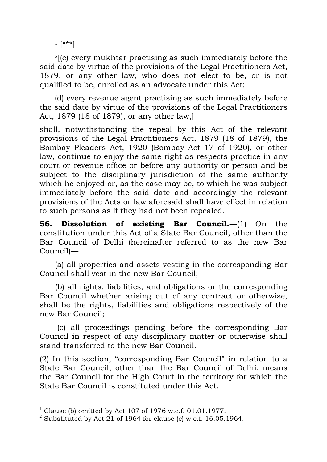$1$   $* \* \*$ ]

2[(c) every mukhtar practising as such immediately before the said date by virtue of the provisions of the Legal Practitioners Act, 1879, or any other law, who does not elect to be, or is not qualified to be, enrolled as an advocate under this Act;

(d) every revenue agent practising as such immediately before the said date by virtue of the provisions of the Legal Practitioners Act, 1879 (18 of 1879), or any other law,]

shall, notwithstanding the repeal by this Act of the relevant provisions of the Legal Practitioners Act, 1879 (18 of 1879), the Bombay Pleaders Act, 1920 (Bombay Act 17 of 1920), or other law, continue to enjoy the same right as respects practice in any court or revenue office or before any authority or person and be subject to the disciplinary jurisdiction of the same authority which he enjoyed or, as the case may be, to which he was subject immediately before the said date and accordingly the relevant provisions of the Acts or law aforesaid shall have effect in relation to such persons as if they had not been repealed.

**56. Dissolution of existing Bar Council.**—(1) On the constitution under this Act of a State Bar Council, other than the Bar Council of Delhi (hereinafter referred to as the new Bar Council)—

(a) all properties and assets vesting in the corresponding Bar Council shall vest in the new Bar Council;

(b) all rights, liabilities, and obligations or the corresponding Bar Council whether arising out of any contract or otherwise, shall be the rights, liabilities and obligations respectively of the new Bar Council;

(c) all proceedings pending before the corresponding Bar Council in respect of any disciplinary matter or otherwise shall stand transferred to the new Bar Council.

(2) In this section, "corresponding Bar Council" in relation to a State Bar Council, other than the Bar Council of Delhi, means the Bar Council for the High Court in the territory for which the State Bar Council is constituted under this Act.

 <sup>1</sup> Clause (b) omitted by Act 107 of 1976 w.e.f. 01.01.1977.

<sup>&</sup>lt;sup>2</sup> Substituted by Act 21 of 1964 for clause (c) w.e.f. 16.05.1964.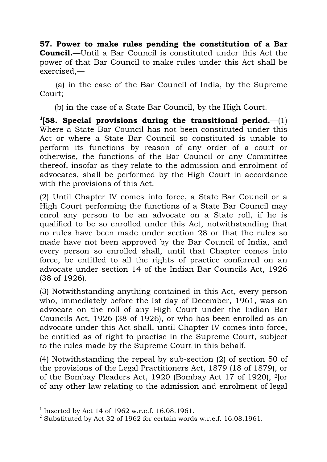**57. Power to make rules pending the constitution of a Bar Council.**—Until a Bar Council is constituted under this Act the power of that Bar Council to make rules under this Act shall be exercised,—

(a) in the case of the Bar Council of India, by the Supreme Court;

(b) in the case of a State Bar Council, by the High Court.

**1[58. Special provisions during the transitional period.**—(1) Where a State Bar Council has not been constituted under this Act or where a State Bar Council so constituted is unable to perform its functions by reason of any order of a court or otherwise, the functions of the Bar Council or any Committee thereof, insofar as they relate to the admission and enrolment of advocates, shall be performed by the High Court in accordance with the provisions of this Act.

(2) Until Chapter IV comes into force, a State Bar Council or a High Court performing the functions of a State Bar Council may enrol any person to be an advocate on a State roll, if he is qualified to be so enrolled under this Act, notwithstanding that no rules have been made under section 28 or that the rules so made have not been approved by the Bar Council of India, and every person so enrolled shall, until that Chapter comes into force, be entitled to all the rights of practice conferred on an advocate under section 14 of the Indian Bar Councils Act, 1926 (38 of 1926).

(3) Notwithstanding anything contained in this Act, every person who, immediately before the Ist day of December, 1961, was an advocate on the roll of any High Court under the Indian Bar Councils Act, 1926 (38 of 1926), or who has been enrolled as an advocate under this Act shall, until Chapter IV comes into force, be entitled as of right to practise in the Supreme Court, subject to the rules made by the Supreme Court in this behalf.

(4) Notwithstanding the repeal by sub-section (2) of section 50 of the provisions of the Legal Practitioners Act, 1879 (18 of 1879), or of the Bombay Pleaders Act, 1920 (Bombay Act 17 of 1920), 2[or of any other law relating to the admission and enrolment of legal

 <sup>1</sup> Inserted by Act 14 of 1962 w.r.e.f. 16.08.1961.

<sup>&</sup>lt;sup>2</sup> Substituted by Act 32 of 1962 for certain words w.r.e.f. 16.08.1961.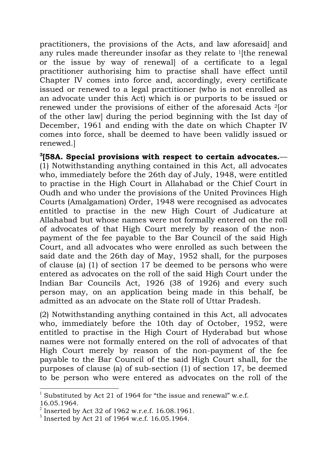practitioners, the provisions of the Acts, and law aforesaid] and any rules made thereunder insofar as they relate to 1[the renewal or the issue by way of renewal] of a certificate to a legal practitioner authorising him to practise shall have effect until Chapter IV comes into force and, accordingly, every certificate issued or renewed to a legal practitioner (who is not enrolled as an advocate under this Act) which is or purports to be issued or renewed under the provisions of either of the aforesaid Acts 2[or of the other law] during the period beginning with the Ist day of December, 1961 and ending with the date on which Chapter IV comes into force, shall be deemed to have been validly issued or renewed.]

**3 [58A. Special provisions with respect to certain advocates.**— (1) Notwithstanding anything contained in this Act, all advocates who, immediately before the 26th day of July, 1948, were entitled to practise in the High Court in Allahabad or the Chief Court in Oudh and who under the provisions of the United Provinces High Courts (Amalgamation) Order, 1948 were recognised as advocates entitled to practise in the new High Court of Judicature at Allahabad but whose names were not formally entered on the roll of advocates of that High Court merely by reason of the nonpayment of the fee payable to the Bar Council of the said High Court, and all advocates who were enrolled as such between the said date and the 26th day of May, 1952 shall, for the purposes of clause (a) (1) of section 17 be deemed to be persons who were entered as advocates on the roll of the said High Court under the Indian Bar Councils Act, 1926 (38 of 1926) and every such person may, on an application being made in this behalf, be admitted as an advocate on the State roll of Uttar Pradesh.

(2) Notwithstanding anything contained in this Act, all advocates who, immediately before the 10th day of October, 1952, were entitled to practise in the High Court of Hyderabad but whose names were not formally entered on the roll of advocates of that High Court merely by reason of the non-payment of the fee payable to the Bar Council of the said High Court shall, for the purposes of clause (a) of sub-section (1) of section 17, be deemed to be person who were entered as advocates on the roll of the

 <sup>1</sup> Substituted by Act 21 of 1964 for "the issue and renewal" w.e.f. 16.05.1964.

 $^2$  Inserted by Act 32 of 1962 w.r.e.f. 16.08.1961.

 $3$  Inserted by Act 21 of 1964 w.e.f. 16.05.1964.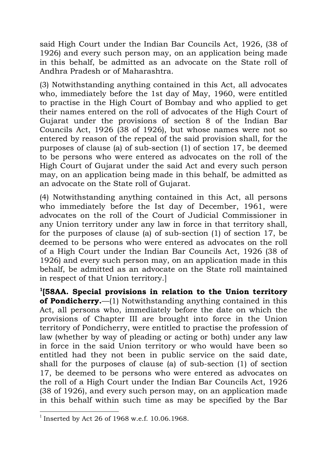said High Court under the Indian Bar Councils Act, 1926, (38 of 1926) and every such person may, on an application being made in this behalf, be admitted as an advocate on the State roll of Andhra Pradesh or of Maharashtra.

(3) Notwithstanding anything contained in this Act, all advocates who, immediately before the 1st day of May, 1960, were entitled to practise in the High Court of Bombay and who applied to get their names entered on the roll of advocates of the High Court of Gujarat under the provisions of section 8 of the Indian Bar Councils Act, 1926 (38 of 1926), but whose names were not so entered by reason of the repeal of the said provision shall, for the purposes of clause (a) of sub-section (1) of section 17, be deemed to be persons who were entered as advocates on the roll of the High Court of Gujarat under the said Act and every such person may, on an application being made in this behalf, be admitted as an advocate on the State roll of Gujarat.

(4) Notwithstanding anything contained in this Act, all persons who immediately before the Ist day of December, 1961, were advocates on the roll of the Court of Judicial Commissioner in any Union territory under any law in force in that territory shall, for the purposes of clause (a) of sub-section (1) of section 17, be deemed to be persons who were entered as advocates on the roll of a High Court under the Indian Bar Councils Act, 1926 (38 of 1926) and every such person may, on an application made in this behalf, be admitted as an advocate on the State roll maintained in respect of that Union territory.]

**1[58AA. Special provisions in relation to the Union territory of Pondicherry.**—(1) Notwithstanding anything contained in this Act, all persons who, immediately before the date on which the provisions of Chapter III are brought into force in the Union territory of Pondicherry, were entitled to practise the profession of law (whether by way of pleading or acting or both) under any law in force in the said Union territory or who would have been so entitled had they not been in public service on the said date, shall for the purposes of clause (a) of sub-section (1) of section 17, be deemed to be persons who were entered as advocates on the roll of a High Court under the Indian Bar Councils Act, 1926 (38 of 1926), and every such person may, on an application made in this behalf within such time as may be specified by the Bar

<sup>&</sup>lt;sup>1</sup> Inserted by Act 26 of 1968 w.e.f. 10.06.1968.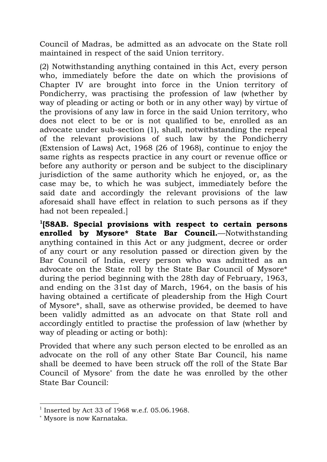Council of Madras, be admitted as an advocate on the State roll maintained in respect of the said Union territory.

(2) Notwithstanding anything contained in this Act, every person who, immediately before the date on which the provisions of Chapter IV are brought into force in the Union territory of Pondicherry, was practising the profession of law (whether by way of pleading or acting or both or in any other way) by virtue of the provisions of any law in force in the said Union territory, who does not elect to be or is not qualified to be, enrolled as an advocate under sub-section (1), shall, notwithstanding the repeal of the relevant provisions of such law by the Pondicherry (Extension of Laws) Act, 1968 (26 of 1968), continue to enjoy the same rights as respects practice in any court or revenue office or before any authority or person and be subject to the disciplinary jurisdiction of the same authority which he enjoyed, or, as the case may be, to which he was subject, immediately before the said date and accordingly the relevant provisions of the law aforesaid shall have effect in relation to such persons as if they had not been repealed.]

**1 [58AB. Special provisions with respect to certain persons enrolled by Mysore\* State Bar Council.**—Notwithstanding anything contained in this Act or any judgment, decree or order of any court or any resolution passed or direction given by the Bar Council of India, every person who was admitted as an advocate on the State roll by the State Bar Council of Mysore\* during the period beginning with the 28th day of February, 1963, and ending on the 31st day of March, 1964, on the basis of his having obtained a certificate of pleadership from the High Court of Mysore\*, shall, save as otherwise provided, be deemed to have been validly admitted as an advocate on that State roll and accordingly entitled to practise the profession of law (whether by way of pleading or acting or both):

Provided that where any such person elected to be enrolled as an advocate on the roll of any other State Bar Council, his name shall be deemed to have been struck off the roll of the State Bar Council of Mysore<sup>∗</sup> from the date he was enrolled by the other State Bar Council:

 <sup>1</sup> Inserted by Act 33 of 1968 w.e.f. 05.06.1968.

<sup>∗</sup> Mysore is now Karnataka.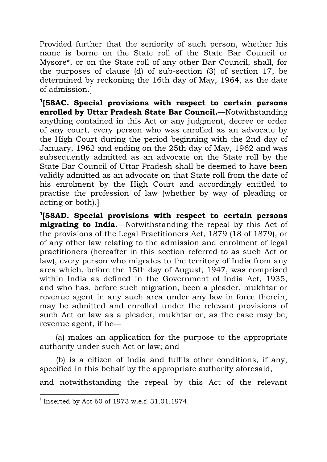Provided further that the seniority of such person, whether his name is borne on the State roll of the State Bar Council or Mysore\*, or on the State roll of any other Bar Council, shall, for the purposes of clause (d) of sub-section (3) of section 17, be determined by reckoning the 16th day of May, 1964, as the date of admission.]

**<sup>1</sup>[58AC. Special provisions with respect to certain persons enrolled by Uttar Pradesh State Bar Council.**—Notwithstanding anything contained in this Act or any judgment, decree or order of any court, every person who was enrolled as an advocate by the High Court during the period beginning with the 2nd day of January, 1962 and ending on the 25th day of May, 1962 and was subsequently admitted as an advocate on the State roll by the State Bar Council of Uttar Pradesh shall be deemed to have been validly admitted as an advocate on that State roll from the date of his enrolment by the High Court and accordingly entitled to practise the profession of law (whether by way of pleading or acting or both).]

**1 [58AD. Special provisions with respect to certain persons migrating to India.**—Notwithstanding the repeal by this Act of the provisions of the Legal Practitioners Act, 1879 (18 of 1879), or of any other law relating to the admission and enrolment of legal practitioners (hereafter in this section referred to as such Act or law), every person who migrates to the territory of India from any area which, before the 15th day of August, 1947, was comprised within India as defined in the Government of India Act, 1935, and who has, before such migration, been a pleader, mukhtar or revenue agent in any such area under any law in force therein, may be admitted and enrolled under the relevant provisions of such Act or law as a pleader, mukhtar or, as the case may be, revenue agent, if he—

(a) makes an application for the purpose to the appropriate authority under such Act or law; and

(b) is a citizen of India and fulfils other conditions, if any, specified in this behalf by the appropriate authority aforesaid,

and notwithstanding the repeal by this Act of the relevant

<sup>&</sup>lt;sup>1</sup> Inserted by Act 60 of 1973 w.e.f. 31.01.1974.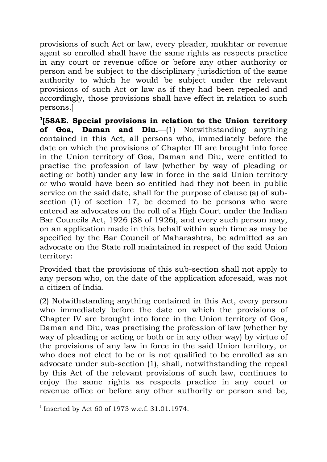provisions of such Act or law, every pleader, mukhtar or revenue agent so enrolled shall have the same rights as respects practice in any court or revenue office or before any other authority or person and be subject to the disciplinary jurisdiction of the same authority to which he would be subject under the relevant provisions of such Act or law as if they had been repealed and accordingly, those provisions shall have effect in relation to such persons.]

**1 [58AE. Special provisions in relation to the Union territory of Goa, Daman and Diu.**—(1) Notwithstanding anything contained in this Act, all persons who, immediately before the date on which the provisions of Chapter III are brought into force in the Union territory of Goa, Daman and Diu, were entitled to practise the profession of law (whether by way of pleading or acting or both) under any law in force in the said Union territory or who would have been so entitled had they not been in public service on the said date, shall for the purpose of clause (a) of subsection (1) of section 17, be deemed to be persons who were entered as advocates on the roll of a High Court under the Indian Bar Councils Act, 1926 (38 of 1926), and every such person may, on an application made in this behalf within such time as may be specified by the Bar Council of Maharashtra, be admitted as an advocate on the State roll maintained in respect of the said Union territory:

Provided that the provisions of this sub-section shall not apply to any person who, on the date of the application aforesaid, was not a citizen of India.

(2) Notwithstanding anything contained in this Act, every person who immediately before the date on which the provisions of Chapter IV are brought into force in the Union territory of Goa, Daman and Diu, was practising the profession of law (whether by way of pleading or acting or both or in any other way) by virtue of the provisions of any law in force in the said Union territory, or who does not elect to be or is not qualified to be enrolled as an advocate under sub-section (1), shall, notwithstanding the repeal by this Act of the relevant provisions of such law, continues to enjoy the same rights as respects practice in any court or revenue office or before any other authority or person and be,

 $1$  Inserted by Act 60 of 1973 w.e.f. 31.01.1974.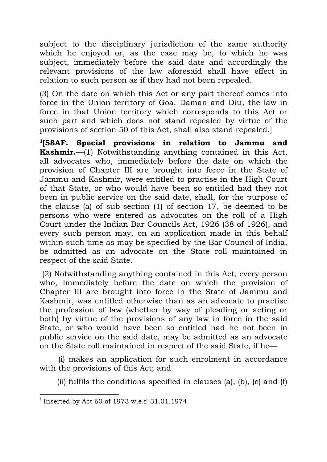subject to the disciplinary jurisdiction of the same authority which he enjoyed or, as the case may be, to which he was subject, immediately before the said date and accordingly the relevant provisions of the law aforesaid shall have effect in relation to such person as if they had not been repealed.

(3) On the date on which this Act or any part thereof comes into force in the Union territory of Goa, Daman and Diu, the law in force in that Union territory which corresponds to this Act or such part and which does not stand repealed by virtue of the provisions of section 50 of this Act, shall also stand repealed.]

**1 [58AF. Special provisions in relation to Jammu and Kashmir.**—(1) Notwithstanding anything contained in this Act, all advocates who, immediately before the date on which the provision of Chapter III are brought into force in the State of Jammu and Kashmir, were entitled to practise in the High Court of that State, or who would have been so entitled had they not been in public service on the said date, shall, for the purpose of the clause (a) of sub-section (1) of section 17, be deemed to be persons who were entered as advocates on the roll of a High Court under the Indian Bar Councils Act, 1926 (38 of 1926), and every such person may, on an application made in this behalf within such time as may be specified by the Bar Council of India, be admitted as an advocate on the State roll maintained in respect of the said State.

(2) Notwithstanding anything contained in this Act, every person who, immediately before the date on which the provision of Chapter III are brought into force in the State of Jammu and Kashmir, was entitled otherwise than as an advocate to practise the profession of law (whether by way of pleading or acting or both) by virtue of the provisions of any law in force in the said State, or who would have been so entitled had he not been in public service on the said date, may be admitted as an advocate on the State roll maintained in respect of the said State, if he—

(i) makes an application for such enrolment in accordance with the provisions of this Act; and

(ii) fulfils the conditions specified in clauses (a), (b), (e) and  $(f)$ 

 $1$  Inserted by Act 60 of 1973 w.e.f. 31.01.1974.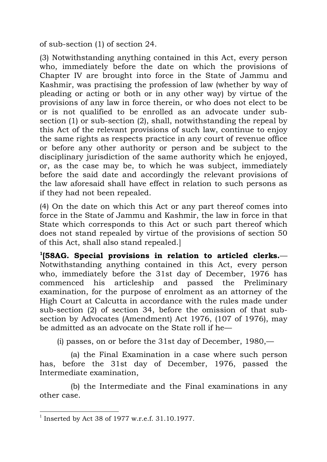of sub-section (1) of section 24.

(3) Notwithstanding anything contained in this Act, every person who, immediately before the date on which the provisions of Chapter IV are brought into force in the State of Jammu and Kashmir, was practising the profession of law (whether by way of pleading or acting or both or in any other way) by virtue of the provisions of any law in force therein, or who does not elect to be or is not qualified to be enrolled as an advocate under subsection (1) or sub-section (2), shall, notwithstanding the repeal by this Act of the relevant provisions of such law, continue to enjoy the same rights as respects practice in any court of revenue office or before any other authority or person and be subject to the disciplinary jurisdiction of the same authority which he enjoyed, or, as the case may be, to which he was subject, immediately before the said date and accordingly the relevant provisions of the law aforesaid shall have effect in relation to such persons as if they had not been repealed.

(4) On the date on which this Act or any part thereof comes into force in the State of Jammu and Kashmir, the law in force in that State which corresponds to this Act or such part thereof which does not stand repealed by virtue of the provisions of section 50 of this Act, shall also stand repealed.]

**1[58AG. Special provisions in relation to articled clerks.**— Notwithstanding anything contained in this Act, every person who, immediately before the 31st day of December, 1976 has commenced his articleship and passed the Preliminary examination, for the purpose of enrolment as an attorney of the High Court at Calcutta in accordance with the rules made under sub-section (2) of section 34, before the omission of that subsection by Advocates (Amendment) Act 1976, (107 of 1976), may be admitted as an advocate on the State roll if he—

(i) passes, on or before the 31st day of December, 1980,—

(a) the Final Examination in a case where such person has, before the 31st day of December, 1976, passed the Intermediate examination,

(b) the Intermediate and the Final examinations in any other case.

 <sup>1</sup> Inserted by Act 38 of 1977 w.r.e.f. 31.10.1977.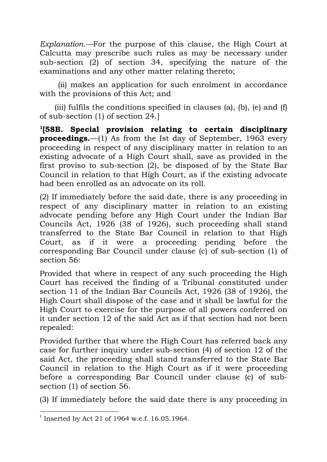*Explanation.—*For the purpose of this clause, the High Court at Calcutta may prescribe such rules as may be necessary under sub-section (2) of section 34, specifying the nature of the examinations and any other matter relating thereto;

(ii) makes an application for such enrolment in accordance with the provisions of this Act; and

(iii) fulfils the conditions specified in clauses (a), (b), (e) and (f) of sub-section (1) of section 24.]

**1[58B. Special provision relating to certain disciplinary proceedings.**—(1) As from the Ist day of September, 1963 every proceeding in respect of any disciplinary matter in relation to an existing advocate of a High Court shall, save as provided in the first proviso to sub-section (2), be disposed of by the State Bar Council in relation to that High Court, as if the existing advocate had been enrolled as an advocate on its roll.

(2) If immediately before the said date, there is any proceeding in respect of any disciplinary matter in relation to an existing advocate pending before any High Court under the Indian Bar Councils Act, 1926 (38 of 1926), such proceeding shall stand transferred to the State Bar Council in relation to that High Court, as if it were a proceeding pending before the corresponding Bar Council under clause (c) of sub-section (1) of section 56:

Provided that where in respect of any such proceeding the High Court has received the finding of a Tribunal constituted under section 11 of the Indian Bar Councils Act, 1926 (38 of 1926), the High Court shall dispose of the case and it shall be lawful for the High Court to exercise for the purpose of all powers conferred on it under section 12 of the said Act as if that section had not been repealed:

Provided further that where the High Court has referred back any case for further inquiry under sub-section (4) of section 12 of the said Act, the proceeding shall stand transferred to the State Bar Council in relation to the High Court as if it were proceeding before a corresponding Bar Council under clause (c) of subsection (1) of section 56.

(3) If immediately before the said date there is any proceeding in

 <sup>1</sup> Inserted by Act 21 of 1964 w.e.f. 16.05.1964.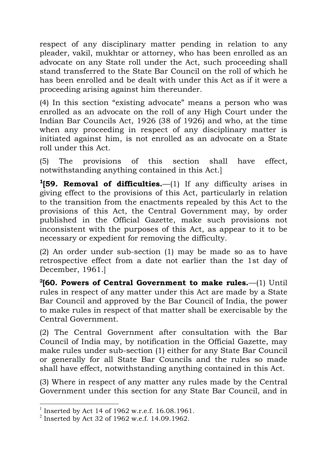respect of any disciplinary matter pending in relation to any pleader, vakil, mukhtar or attorney, who has been enrolled as an advocate on any State roll under the Act, such proceeding shall stand transferred to the State Bar Council on the roll of which he has been enrolled and be dealt with under this Act as if it were a proceeding arising against him thereunder.

(4) In this section "existing advocate" means a person who was enrolled as an advocate on the roll of any High Court under the Indian Bar Councils Act, 1926 (38 of 1926) and who, at the time when any proceeding in respect of any disciplinary matter is initiated against him, is not enrolled as an advocate on a State roll under this Act.

(5) The provisions of this section shall have effect, notwithstanding anything contained in this Act.]

**<sup>1</sup>[59. Removal of difficulties.**—(1) If any difficulty arises in giving effect to the provisions of this Act, particularly in relation to the transition from the enactments repealed by this Act to the provisions of this Act, the Central Government may, by order published in the Official Gazette, make such provisions not inconsistent with the purposes of this Act, as appear to it to be necessary or expedient for removing the difficulty.

(2) An order under sub-section (1) may be made so as to have retrospective effect from a date not earlier than the 1st day of December, 1961.]

**2 [60. Powers of Central Government to make rules.**—(1) Until rules in respect of any matter under this Act are made by a State Bar Council and approved by the Bar Council of India, the power to make rules in respect of that matter shall be exercisable by the Central Government.

(2) The Central Government after consultation with the Bar Council of India may, by notification in the Official Gazette, may make rules under sub-section (1) either for any State Bar Council or generally for all State Bar Councils and the rules so made shall have effect, notwithstanding anything contained in this Act.

(3) Where in respect of any matter any rules made by the Central Government under this section for any State Bar Council, and in

 <sup>1</sup> Inserted by Act 14 of 1962 w.r.e.f. 16.08.1961.

 $^{2}$  Inserted by Act 32 of 1962 w.e.f. 14.09.1962.